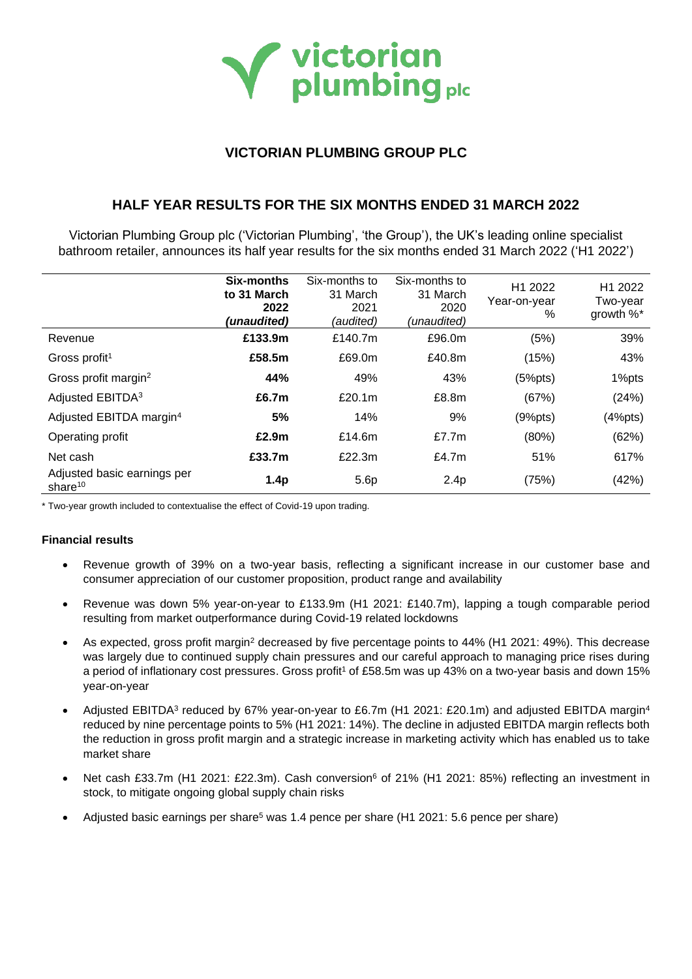

# **VICTORIAN PLUMBING GROUP PLC**

# **HALF YEAR RESULTS FOR THE SIX MONTHS ENDED 31 MARCH 2022**

Victorian Plumbing Group plc ('Victorian Plumbing', 'the Group'), the UK's leading online specialist bathroom retailer, announces its half year results for the six months ended 31 March 2022 ('H1 2022')

|                                           | Six-months<br>to 31 March<br>2022<br>(unaudited) | Six-months to<br>31 March<br>2021<br>(audited) | Six-months to<br>31 March<br>2020<br>(unaudited) | H1 2022<br>Year-on-year<br>% | H <sub>1</sub> 2022<br>Two-year<br>growth %* |
|-------------------------------------------|--------------------------------------------------|------------------------------------------------|--------------------------------------------------|------------------------------|----------------------------------------------|
| Revenue                                   | £133.9m                                          | £140.7m                                        | £96.0m                                           | (5%)                         | 39%                                          |
| Gross profit <sup>1</sup>                 | £58.5m                                           | £69.0m                                         | £40.8m                                           | (15%)                        | 43%                                          |
| Gross profit margin <sup>2</sup>          | 44%                                              | 49%                                            | 43%                                              | (5%pts)                      | 1%pts                                        |
| Adjusted EBITDA <sup>3</sup>              | £6.7m                                            | £20.1m                                         | £8.8m                                            | (67%)                        | (24%)                                        |
| Adjusted EBITDA margin <sup>4</sup>       | 5%                                               | 14%                                            | 9%                                               | (9%pts)                      | (4%pts)                                      |
| Operating profit                          | £2.9m                                            | £14.6 $m$                                      | £7.7 $m$                                         | (80%)                        | (62%)                                        |
| Net cash                                  | £33.7m                                           | £22.3m                                         | £4.7 $m$                                         | 51%                          | 617%                                         |
| Adjusted basic earnings per<br>share $10$ | 1.4 <sub>p</sub>                                 | 5.6p                                           | 2.4 <sub>p</sub>                                 | (75%)                        | (42%)                                        |

\* Two-year growth included to contextualise the effect of Covid-19 upon trading.

## **Financial results**

- Revenue growth of 39% on a two-year basis, reflecting a significant increase in our customer base and consumer appreciation of our customer proposition, product range and availability
- Revenue was down 5% year-on-year to £133.9m (H1 2021: £140.7m), lapping a tough comparable period resulting from market outperformance during Covid-19 related lockdowns
- As expected, gross profit margin<sup>2</sup> decreased by five percentage points to 44% (H1 2021: 49%). This decrease was largely due to continued supply chain pressures and our careful approach to managing price rises during a period of inflationary cost pressures. Gross profit<sup>1</sup> of £58.5m was up 43% on a two-year basis and down 15% year-on-year
- Adjusted EBITDA<sup>3</sup> reduced by 67% year-on-year to £6.7m (H1 2021: £20.1m) and adjusted EBITDA margin<sup>4</sup> reduced by nine percentage points to 5% (H1 2021: 14%). The decline in adjusted EBITDA margin reflects both the reduction in gross profit margin and a strategic increase in marketing activity which has enabled us to take market share
- Net cash £33.7m (H1 2021: £22.3m). Cash conversion<sup>6</sup> of 21% (H1 2021: 85%) reflecting an investment in stock, to mitigate ongoing global supply chain risks
- Adjusted basic earnings per share<sup>5</sup> was 1.4 pence per share (H1 2021: 5.6 pence per share)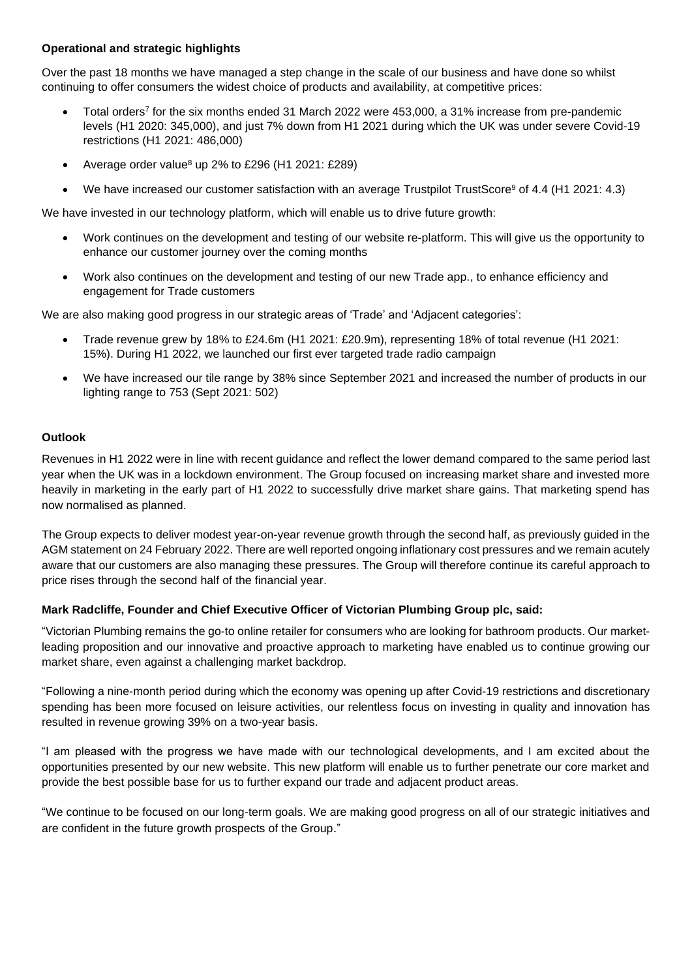# **Operational and strategic highlights**

Over the past 18 months we have managed a step change in the scale of our business and have done so whilst continuing to offer consumers the widest choice of products and availability, at competitive prices:

- Total orders<sup>7</sup> for the six months ended 31 March 2022 were 453,000, a 31% increase from pre-pandemic levels (H1 2020: 345,000), and just 7% down from H1 2021 during which the UK was under severe Covid-19 restrictions (H1 2021: 486,000)
- Average order value<sup>8</sup> up 2% to £296 (H1 2021: £289)
- We have increased our customer satisfaction with an average Trustpilot TrustScore<sup>9</sup> of 4.4 (H1 2021: 4.3)

We have invested in our technology platform, which will enable us to drive future growth:

- Work continues on the development and testing of our website re-platform. This will give us the opportunity to enhance our customer journey over the coming months
- Work also continues on the development and testing of our new Trade app., to enhance efficiency and engagement for Trade customers

We are also making good progress in our strategic areas of 'Trade' and 'Adjacent categories':

- Trade revenue grew by 18% to £24.6m (H1 2021: £20.9m), representing 18% of total revenue (H1 2021: 15%). During H1 2022, we launched our first ever targeted trade radio campaign
- We have increased our tile range by 38% since September 2021 and increased the number of products in our lighting range to 753 (Sept 2021: 502)

# **Outlook**

Revenues in H1 2022 were in line with recent guidance and reflect the lower demand compared to the same period last year when the UK was in a lockdown environment. The Group focused on increasing market share and invested more heavily in marketing in the early part of H1 2022 to successfully drive market share gains. That marketing spend has now normalised as planned.

The Group expects to deliver modest year-on-year revenue growth through the second half, as previously guided in the AGM statement on 24 February 2022. There are well reported ongoing inflationary cost pressures and we remain acutely aware that our customers are also managing these pressures. The Group will therefore continue its careful approach to price rises through the second half of the financial year.

## **Mark Radcliffe, Founder and Chief Executive Officer of Victorian Plumbing Group plc, said:**

"Victorian Plumbing remains the go-to online retailer for consumers who are looking for bathroom products. Our marketleading proposition and our innovative and proactive approach to marketing have enabled us to continue growing our market share, even against a challenging market backdrop.

"Following a nine-month period during which the economy was opening up after Covid-19 restrictions and discretionary spending has been more focused on leisure activities, our relentless focus on investing in quality and innovation has resulted in revenue growing 39% on a two-year basis.

"I am pleased with the progress we have made with our technological developments, and I am excited about the opportunities presented by our new website. This new platform will enable us to further penetrate our core market and provide the best possible base for us to further expand our trade and adjacent product areas.

"We continue to be focused on our long-term goals. We are making good progress on all of our strategic initiatives and are confident in the future growth prospects of the Group."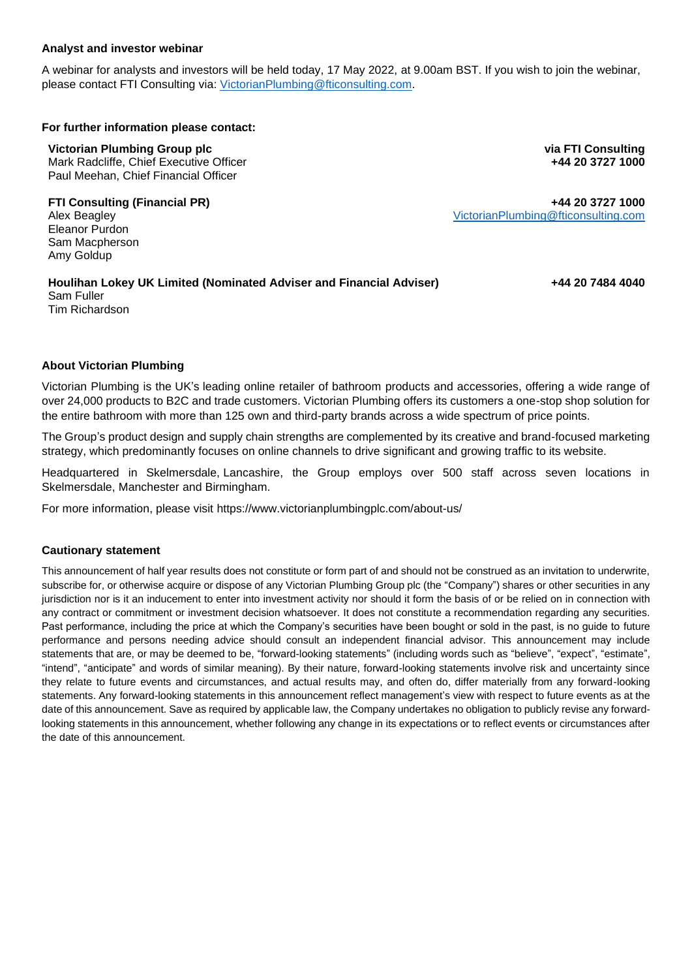### **Analyst and investor webinar**

A webinar for analysts and investors will be held today, 17 May 2022, at 9.00am BST. If you wish to join the webinar, please contact FTI Consulting via: [VictorianPlumbing@fticonsulting.com.](mailto:VictorianPlumbing@fticonsulting.com)

#### **For further information please contact:**

#### **Victorian Plumbing Group plc**

Mark Radcliffe, Chief Executive Officer Paul Meehan, Chief Financial Officer

**FTI Consulting (Financial PR)** Alex Beagley Eleanor Purdon Sam Macpherson Amy Goldup

**via FTI Consulting +44 20 3727 1000**

**+44 20 3727 1000** [VictorianPlumbing@fticonsulting.com](mailto:VictorianPlumbing@fticonsulting.com)

#### **Houlihan Lokey UK Limited (Nominated Adviser and Financial Adviser)** Sam Fuller Tim Richardson

**+44 20 7484 4040**

# **About Victorian Plumbing**

Victorian Plumbing is the UK's leading online retailer of bathroom products and accessories, offering a wide range of over 24,000 products to B2C and trade customers. Victorian Plumbing offers its customers a one-stop shop solution for the entire bathroom with more than 125 own and third-party brands across a wide spectrum of price points.

The Group's product design and supply chain strengths are complemented by its creative and brand-focused marketing strategy, which predominantly focuses on online channels to drive significant and growing traffic to its website.

Headquartered in Skelmersdale, Lancashire, the Group employs over 500 staff across seven locations in Skelmersdale, Manchester and Birmingham.

For more information, please visit<https://www.victorianplumbingplc.com/about-us/>

## **Cautionary statement**

This announcement of half year results does not constitute or form part of and should not be construed as an invitation to underwrite, subscribe for, or otherwise acquire or dispose of any Victorian Plumbing Group plc (the "Company") shares or other securities in any jurisdiction nor is it an inducement to enter into investment activity nor should it form the basis of or be relied on in connection with any contract or commitment or investment decision whatsoever. It does not constitute a recommendation regarding any securities. Past performance, including the price at which the Company's securities have been bought or sold in the past, is no guide to future performance and persons needing advice should consult an independent financial advisor. This announcement may include statements that are, or may be deemed to be, "forward-looking statements" (including words such as "believe", "expect", "estimate", "intend", "anticipate" and words of similar meaning). By their nature, forward-looking statements involve risk and uncertainty since they relate to future events and circumstances, and actual results may, and often do, differ materially from any forward-looking statements. Any forward-looking statements in this announcement reflect management's view with respect to future events as at the date of this announcement. Save as required by applicable law, the Company undertakes no obligation to publicly revise any forwardlooking statements in this announcement, whether following any change in its expectations or to reflect events or circumstances after the date of this announcement.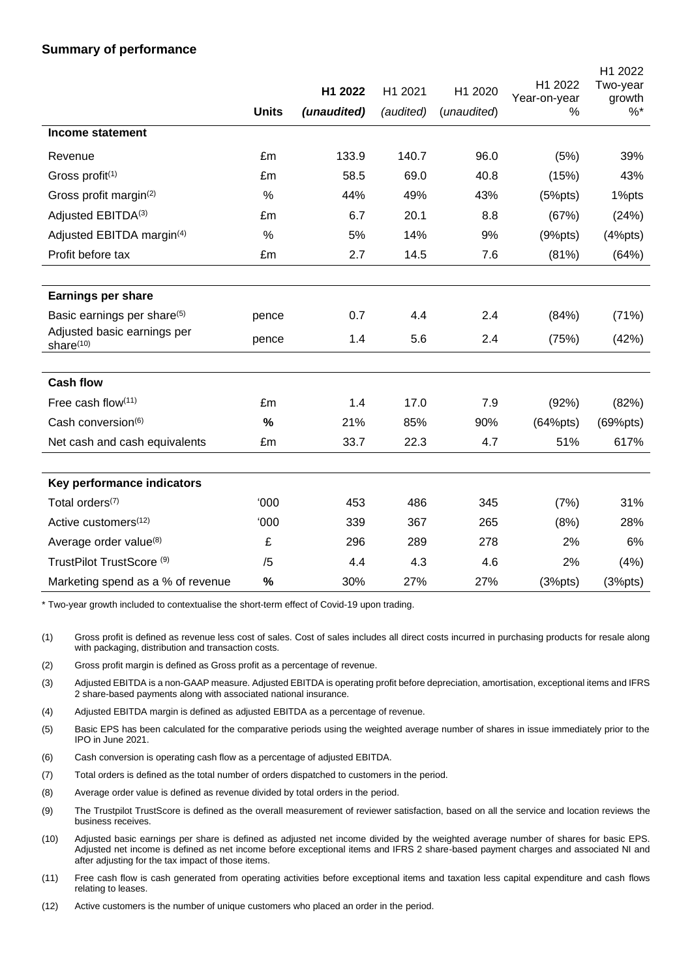# **Summary of performance**

|                                                      | <b>Units</b> | H1 2022<br>(unaudited) | H1 2021<br>(audited) | H1 2020<br>(unaudited) | H1 2022<br>Year-on-year<br>% | H1 2022<br>Two-year<br>growth<br>$%$ * |
|------------------------------------------------------|--------------|------------------------|----------------------|------------------------|------------------------------|----------------------------------------|
| <b>Income statement</b>                              |              |                        |                      |                        |                              |                                        |
|                                                      |              |                        |                      |                        |                              |                                        |
| Revenue                                              | £m           | 133.9                  | 140.7                | 96.0                   | (5%)                         | 39%                                    |
| Gross profit <sup>(1)</sup>                          | £m           | 58.5                   | 69.0                 | 40.8                   | (15%)                        | 43%                                    |
| Gross profit margin <sup>(2)</sup>                   | $\%$         | 44%                    | 49%                  | 43%                    | (5%pts)                      | 1%pts                                  |
| Adjusted EBITDA(3)                                   | £m           | 6.7                    | 20.1                 | 8.8                    | (67%)                        | (24%)                                  |
| Adjusted EBITDA margin <sup>(4)</sup>                | $\%$         | 5%                     | 14%                  | 9%                     | (9%pts)                      | (4%pts)                                |
| Profit before tax                                    | £m           | 2.7                    | 14.5                 | 7.6                    | (81%)                        | (64%)                                  |
|                                                      |              |                        |                      |                        |                              |                                        |
| <b>Earnings per share</b>                            |              |                        |                      |                        |                              |                                        |
| Basic earnings per share <sup>(5)</sup>              | pence        | 0.7                    | 4.4                  | 2.4                    | (84%)                        | (71%)                                  |
| Adjusted basic earnings per<br>share <sup>(10)</sup> | pence        | 1.4                    | 5.6                  | 2.4                    | (75%)                        | (42%)                                  |
|                                                      |              |                        |                      |                        |                              |                                        |
| <b>Cash flow</b>                                     |              |                        |                      |                        |                              |                                        |
| Free cash flow(11)                                   | £m           | 1.4                    | 17.0                 | 7.9                    | (92%)                        | (82%)                                  |
| Cash conversion <sup>(6)</sup>                       | %            | 21%                    | 85%                  | 90%                    | (64%pts)                     | (69%pts)                               |
| Net cash and cash equivalents                        | £m           | 33.7                   | 22.3                 | 4.7                    | 51%                          | 617%                                   |
|                                                      |              |                        |                      |                        |                              |                                        |
| Key performance indicators                           |              |                        |                      |                        |                              |                                        |
| Total orders <sup>(7)</sup>                          | 000'         | 453                    | 486                  | 345                    | (7%)                         | 31%                                    |
| Active customers <sup>(12)</sup>                     | 000'         | 339                    | 367                  | 265                    | (8%)                         | 28%                                    |
| Average order value <sup>(8)</sup>                   | £            | 296                    | 289                  | 278                    | 2%                           | 6%                                     |
| TrustPilot TrustScore <sup>(9)</sup>                 | /5           | 4.4                    | 4.3                  | 4.6                    | 2%                           | (4%)                                   |
| Marketing spend as a % of revenue                    | %            | 30%                    | 27%                  | 27%                    | (3%pts)                      | (3%pts)                                |

\* Two-year growth included to contextualise the short-term effect of Covid-19 upon trading.

(1) Gross profit is defined as revenue less cost of sales. Cost of sales includes all direct costs incurred in purchasing products for resale along with packaging, distribution and transaction costs.

(2) Gross profit margin is defined as Gross profit as a percentage of revenue.

(3) Adjusted EBITDA is a non-GAAP measure. Adjusted EBITDA is operating profit before depreciation, amortisation, exceptional items and IFRS 2 share-based payments along with associated national insurance.

(4) Adjusted EBITDA margin is defined as adjusted EBITDA as a percentage of revenue.

(5) Basic EPS has been calculated for the comparative periods using the weighted average number of shares in issue immediately prior to the IPO in June 2021.

(6) Cash conversion is operating cash flow as a percentage of adjusted EBITDA.

(7) Total orders is defined as the total number of orders dispatched to customers in the period.

(8) Average order value is defined as revenue divided by total orders in the period.

(9) The Trustpilot TrustScore is defined as the overall measurement of reviewer satisfaction, based on all the service and location reviews the business receives.

(10) Adjusted basic earnings per share is defined as adjusted net income divided by the weighted average number of shares for basic EPS. Adjusted net income is defined as net income before exceptional items and IFRS 2 share-based payment charges and associated NI and after adjusting for the tax impact of those items.

(11) Free cash flow is cash generated from operating activities before exceptional items and taxation less capital expenditure and cash flows relating to leases.

(12) Active customers is the number of unique customers who placed an order in the period.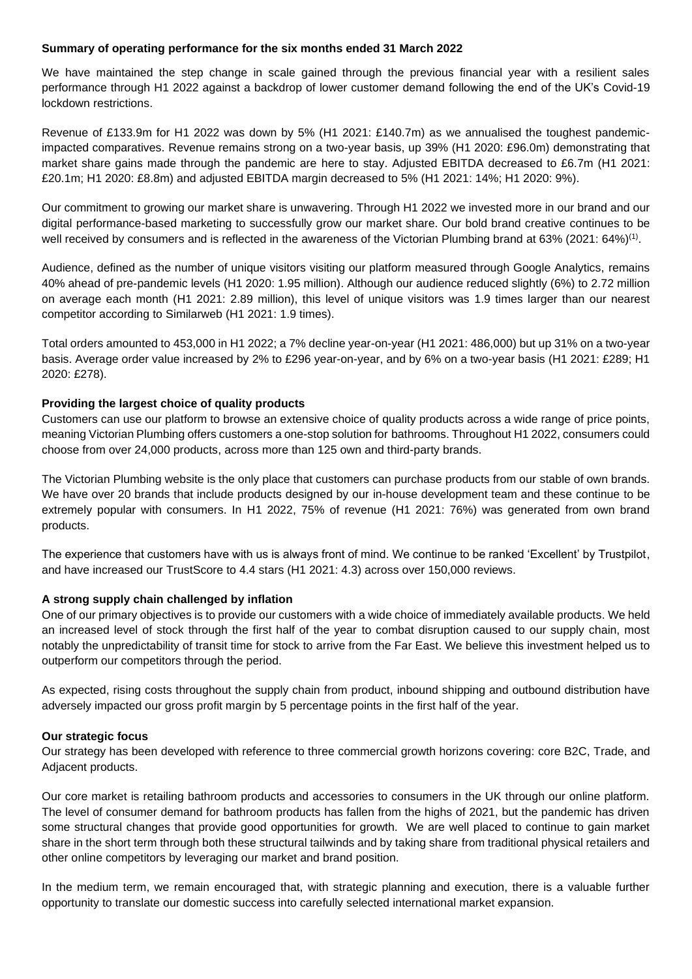#### **Summary of operating performance for the six months ended 31 March 2022**

We have maintained the step change in scale gained through the previous financial year with a resilient sales performance through H1 2022 against a backdrop of lower customer demand following the end of the UK's Covid-19 lockdown restrictions.

Revenue of £133.9m for H1 2022 was down by 5% (H1 2021: £140.7m) as we annualised the toughest pandemicimpacted comparatives. Revenue remains strong on a two-year basis, up 39% (H1 2020: £96.0m) demonstrating that market share gains made through the pandemic are here to stay. Adjusted EBITDA decreased to £6.7m (H1 2021: £20.1m; H1 2020: £8.8m) and adjusted EBITDA margin decreased to 5% (H1 2021: 14%; H1 2020: 9%).

Our commitment to growing our market share is unwavering. Through H1 2022 we invested more in our brand and our digital performance-based marketing to successfully grow our market share. Our bold brand creative continues to be well received by consumers and is reflected in the awareness of the Victorian Plumbing brand at 63% (2021: 64%)<sup>(1)</sup>.

Audience, defined as the number of unique visitors visiting our platform measured through Google Analytics, remains 40% ahead of pre-pandemic levels (H1 2020: 1.95 million). Although our audience reduced slightly (6%) to 2.72 million on average each month (H1 2021: 2.89 million), this level of unique visitors was 1.9 times larger than our nearest competitor according to Similarweb (H1 2021: 1.9 times).

Total orders amounted to 453,000 in H1 2022; a 7% decline year-on-year (H1 2021: 486,000) but up 31% on a two-year basis. Average order value increased by 2% to £296 year-on-year, and by 6% on a two-year basis (H1 2021: £289; H1 2020: £278).

## **Providing the largest choice of quality products**

Customers can use our platform to browse an extensive choice of quality products across a wide range of price points, meaning Victorian Plumbing offers customers a one-stop solution for bathrooms. Throughout H1 2022, consumers could choose from over 24,000 products, across more than 125 own and third-party brands.

The Victorian Plumbing website is the only place that customers can purchase products from our stable of own brands. We have over 20 brands that include products designed by our in-house development team and these continue to be extremely popular with consumers. In H1 2022, 75% of revenue (H1 2021: 76%) was generated from own brand products.

The experience that customers have with us is always front of mind. We continue to be ranked 'Excellent' by Trustpilot, and have increased our TrustScore to 4.4 stars (H1 2021: 4.3) across over 150,000 reviews.

#### **A strong supply chain challenged by inflation**

One of our primary objectives is to provide our customers with a wide choice of immediately available products. We held an increased level of stock through the first half of the year to combat disruption caused to our supply chain, most notably the unpredictability of transit time for stock to arrive from the Far East. We believe this investment helped us to outperform our competitors through the period.

As expected, rising costs throughout the supply chain from product, inbound shipping and outbound distribution have adversely impacted our gross profit margin by 5 percentage points in the first half of the year.

#### **Our strategic focus**

Our strategy has been developed with reference to three commercial growth horizons covering: core B2C, Trade, and Adjacent products.

Our core market is retailing bathroom products and accessories to consumers in the UK through our online platform. The level of consumer demand for bathroom products has fallen from the highs of 2021, but the pandemic has driven some structural changes that provide good opportunities for growth. We are well placed to continue to gain market share in the short term through both these structural tailwinds and by taking share from traditional physical retailers and other online competitors by leveraging our market and brand position.

In the medium term, we remain encouraged that, with strategic planning and execution, there is a valuable further opportunity to translate our domestic success into carefully selected international market expansion.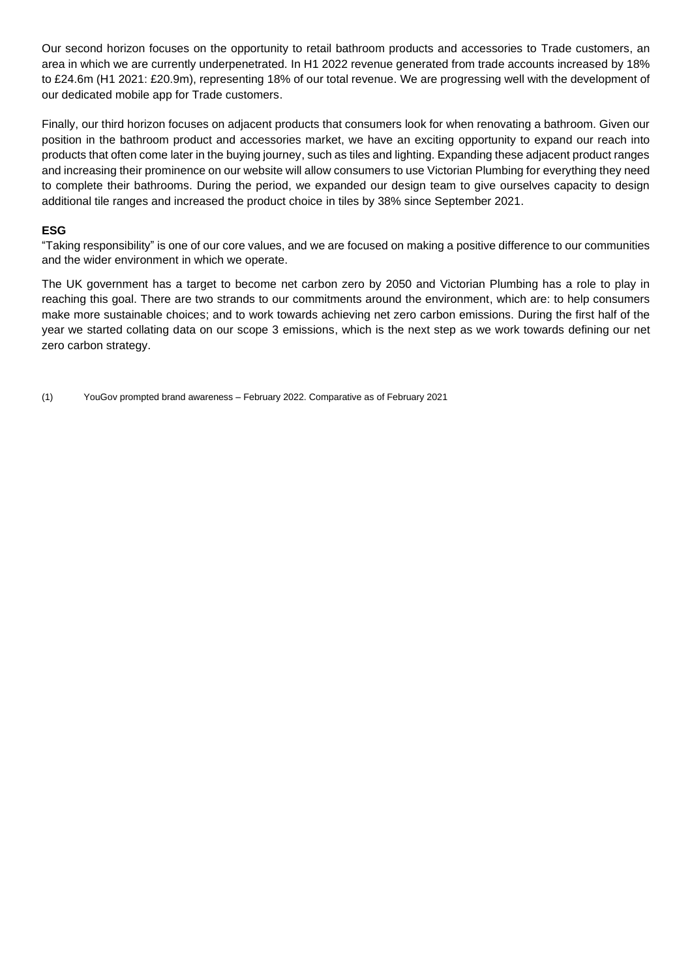Our second horizon focuses on the opportunity to retail bathroom products and accessories to Trade customers, an area in which we are currently underpenetrated. In H1 2022 revenue generated from trade accounts increased by 18% to £24.6m (H1 2021: £20.9m), representing 18% of our total revenue. We are progressing well with the development of our dedicated mobile app for Trade customers.

Finally, our third horizon focuses on adjacent products that consumers look for when renovating a bathroom. Given our position in the bathroom product and accessories market, we have an exciting opportunity to expand our reach into products that often come later in the buying journey, such as tiles and lighting. Expanding these adjacent product ranges and increasing their prominence on our website will allow consumers to use Victorian Plumbing for everything they need to complete their bathrooms. During the period, we expanded our design team to give ourselves capacity to design additional tile ranges and increased the product choice in tiles by 38% since September 2021.

## **ESG**

"Taking responsibility" is one of our core values, and we are focused on making a positive difference to our communities and the wider environment in which we operate.

The UK government has a target to become net carbon zero by 2050 and Victorian Plumbing has a role to play in reaching this goal. There are two strands to our commitments around the environment, which are: to help consumers make more sustainable choices; and to work towards achieving net zero carbon emissions. During the first half of the year we started collating data on our scope 3 emissions, which is the next step as we work towards defining our net zero carbon strategy.

(1) YouGov prompted brand awareness – February 2022. Comparative as of February 2021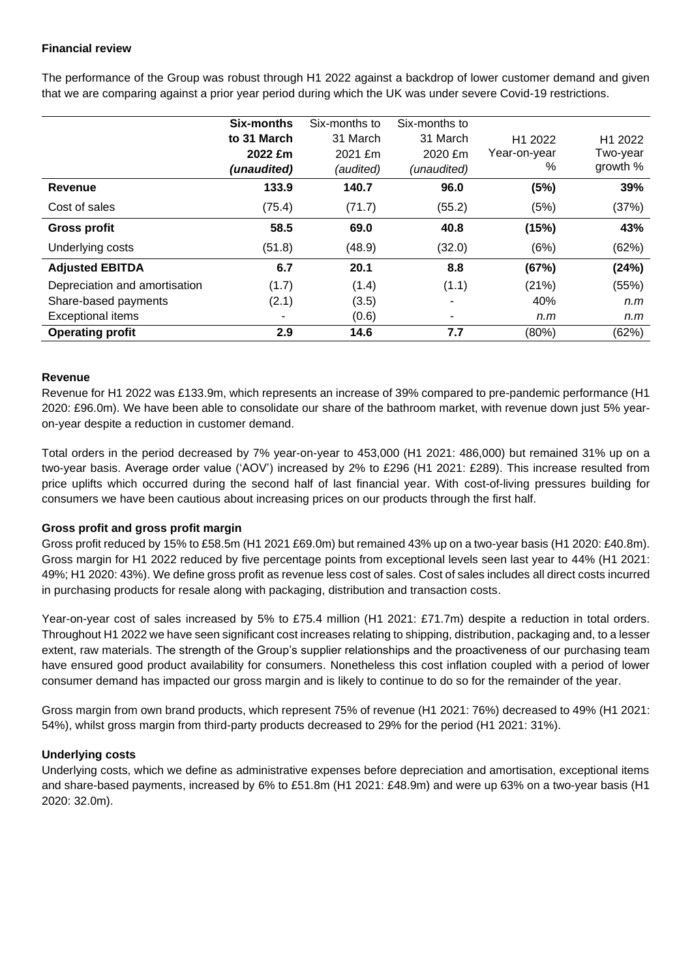# **Financial review**

The performance of the Group was robust through H1 2022 against a backdrop of lower customer demand and given that we are comparing against a prior year period during which the UK was under severe Covid-19 restrictions.

|                               | Six-months  | Six-months to | Six-months to |                     |                     |
|-------------------------------|-------------|---------------|---------------|---------------------|---------------------|
|                               | to 31 March | 31 March      | 31 March      | H <sub>1</sub> 2022 | H <sub>1</sub> 2022 |
|                               | 2022 £m     | 2021 £m       | 2020 £m       | Year-on-year        | Two-year            |
|                               | (unaudited) | (audited)     | (unaudited)   | %                   | growth %            |
| Revenue                       | 133.9       | 140.7         | 96.0          | (5%)                | 39%                 |
| Cost of sales                 | (75.4)      | (71.7)        | (55.2)        | (5%)                | (37%)               |
| <b>Gross profit</b>           | 58.5        | 69.0          | 40.8          | (15%)               | 43%                 |
| Underlying costs              | (51.8)      | (48.9)        | (32.0)        | (6%)                | (62%)               |
| <b>Adjusted EBITDA</b>        | 6.7         | 20.1          | 8.8           | (67%)               | (24%)               |
| Depreciation and amortisation | (1.7)       | (1.4)         | (1.1)         | (21%)               | (55%)               |
| Share-based payments          | (2.1)       | (3.5)         | ۰             | 40%                 | n.m                 |
| <b>Exceptional items</b>      |             | (0.6)         | ۰             | n.m                 | n.m                 |
| <b>Operating profit</b>       | 2.9         | 14.6          | 7.7           | (80%)               | (62%)               |

## **Revenue**

Revenue for H1 2022 was £133.9m, which represents an increase of 39% compared to pre-pandemic performance (H1 2020: £96.0m). We have been able to consolidate our share of the bathroom market, with revenue down just 5% yearon-year despite a reduction in customer demand.

Total orders in the period decreased by 7% year-on-year to 453,000 (H1 2021: 486,000) but remained 31% up on a two-year basis. Average order value ('AOV') increased by 2% to £296 (H1 2021: £289). This increase resulted from price uplifts which occurred during the second half of last financial year. With cost-of-living pressures building for consumers we have been cautious about increasing prices on our products through the first half.

## **Gross profit and gross profit margin**

Gross profit reduced by 15% to £58.5m (H1 2021 £69.0m) but remained 43% up on a two-year basis (H1 2020: £40.8m). Gross margin for H1 2022 reduced by five percentage points from exceptional levels seen last year to 44% (H1 2021: 49%; H1 2020: 43%). We define gross profit as revenue less cost of sales. Cost of sales includes all direct costs incurred in purchasing products for resale along with packaging, distribution and transaction costs.

Year-on-year cost of sales increased by 5% to £75.4 million (H1 2021: £71.7m) despite a reduction in total orders. Throughout H1 2022 we have seen significant cost increases relating to shipping, distribution, packaging and, to a lesser extent, raw materials. The strength of the Group's supplier relationships and the proactiveness of our purchasing team have ensured good product availability for consumers. Nonetheless this cost inflation coupled with a period of lower consumer demand has impacted our gross margin and is likely to continue to do so for the remainder of the year.

Gross margin from own brand products, which represent 75% of revenue (H1 2021: 76%) decreased to 49% (H1 2021: 54%), whilst gross margin from third-party products decreased to 29% for the period (H1 2021: 31%).

## **Underlying costs**

Underlying costs, which we define as administrative expenses before depreciation and amortisation, exceptional items and share-based payments, increased by 6% to £51.8m (H1 2021: £48.9m) and were up 63% on a two-year basis (H1 2020: 32.0m).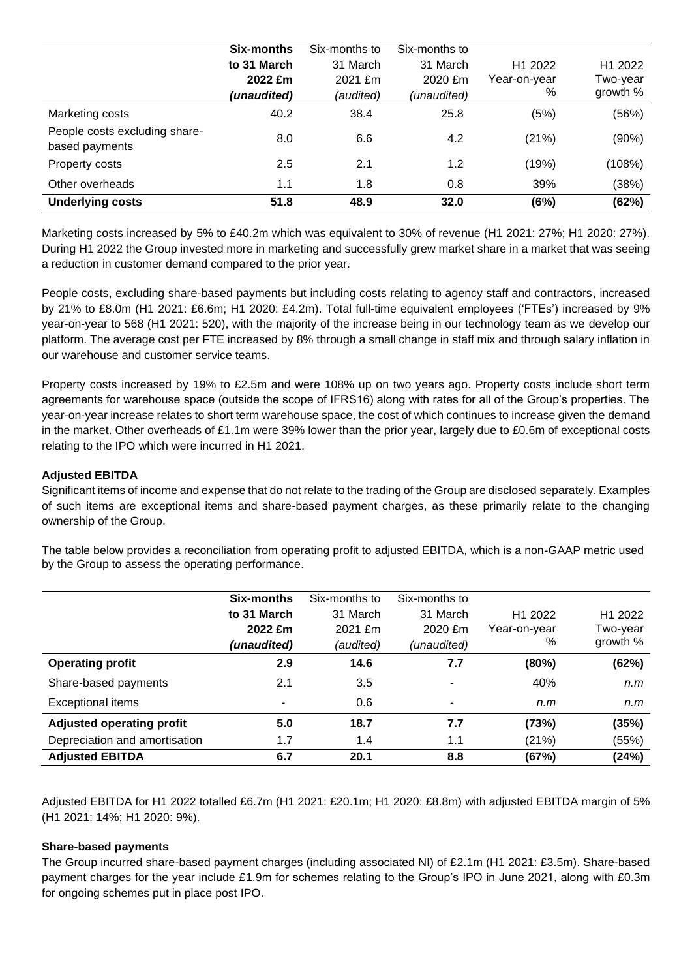|                                                 | Six-months  | Six-months to | Six-months to |                     |                     |
|-------------------------------------------------|-------------|---------------|---------------|---------------------|---------------------|
|                                                 | to 31 March | 31 March      | 31 March      | H <sub>1</sub> 2022 | H <sub>1</sub> 2022 |
|                                                 | 2022 £m     | 2021 £m       | 2020 £m       | Year-on-year        | Two-year            |
|                                                 | (unaudited) | (audited)     | (unaudited)   | %                   | growth %            |
| Marketing costs                                 | 40.2        | 38.4          | 25.8          | (5%)                | (56%)               |
| People costs excluding share-<br>based payments | 8.0         | 6.6           | 4.2           | (21%)               | (90%)               |
| Property costs                                  | 2.5         | 2.1           | 1.2           | (19%)               | (108%)              |
| Other overheads                                 | 1.1         | 1.8           | 0.8           | 39%                 | (38%)               |
| <b>Underlying costs</b>                         | 51.8        | 48.9          | 32.0          | (6%)                | (62%)               |

Marketing costs increased by 5% to £40.2m which was equivalent to 30% of revenue (H1 2021: 27%; H1 2020: 27%). During H1 2022 the Group invested more in marketing and successfully grew market share in a market that was seeing a reduction in customer demand compared to the prior year.

People costs, excluding share-based payments but including costs relating to agency staff and contractors, increased by 21% to £8.0m (H1 2021: £6.6m; H1 2020: £4.2m). Total full-time equivalent employees ('FTEs') increased by 9% year-on-year to 568 (H1 2021: 520), with the majority of the increase being in our technology team as we develop our platform. The average cost per FTE increased by 8% through a small change in staff mix and through salary inflation in our warehouse and customer service teams.

Property costs increased by 19% to £2.5m and were 108% up on two years ago. Property costs include short term agreements for warehouse space (outside the scope of IFRS16) along with rates for all of the Group's properties. The year-on-year increase relates to short term warehouse space, the cost of which continues to increase given the demand in the market. Other overheads of £1.1m were 39% lower than the prior year, largely due to £0.6m of exceptional costs relating to the IPO which were incurred in H1 2021.

# **Adjusted EBITDA**

Significant items of income and expense that do not relate to the trading of the Group are disclosed separately. Examples of such items are exceptional items and share-based payment charges, as these primarily relate to the changing ownership of the Group.

The table below provides a reconciliation from operating profit to adjusted EBITDA, which is a non-GAAP metric used by the Group to assess the operating performance.

|                                  | Six-months  | Six-months to | Six-months to |                     |                     |
|----------------------------------|-------------|---------------|---------------|---------------------|---------------------|
|                                  | to 31 March | 31 March      | 31 March      | H <sub>1</sub> 2022 | H <sub>1</sub> 2022 |
|                                  | 2022 £m     | 2021 £m       | 2020 £m       | Year-on-year        | Two-vear            |
|                                  | (unaudited) | (audited)     | (unaudited)   | %                   | growth %            |
| <b>Operating profit</b>          | 2.9         | 14.6          | 7.7           | (80%)               | (62%)               |
| Share-based payments             | 2.1         | 3.5           |               | 40%                 | n.m                 |
| <b>Exceptional items</b>         | -           | 0.6           |               | n.m                 | n.m                 |
| <b>Adjusted operating profit</b> | 5.0         | 18.7          | 7.7           | (73%)               | (35%)               |
| Depreciation and amortisation    | 1.7         | 1.4           | 1.1           | (21%)               | (55%)               |
| <b>Adjusted EBITDA</b>           | 6.7         | 20.1          | 8.8           | (67%)               | (24%)               |

Adjusted EBITDA for H1 2022 totalled £6.7m (H1 2021: £20.1m; H1 2020: £8.8m) with adjusted EBITDA margin of 5% (H1 2021: 14%; H1 2020: 9%).

## **Share-based payments**

The Group incurred share-based payment charges (including associated NI) of £2.1m (H1 2021: £3.5m). Share-based payment charges for the year include £1.9m for schemes relating to the Group's IPO in June 2021, along with £0.3m for ongoing schemes put in place post IPO.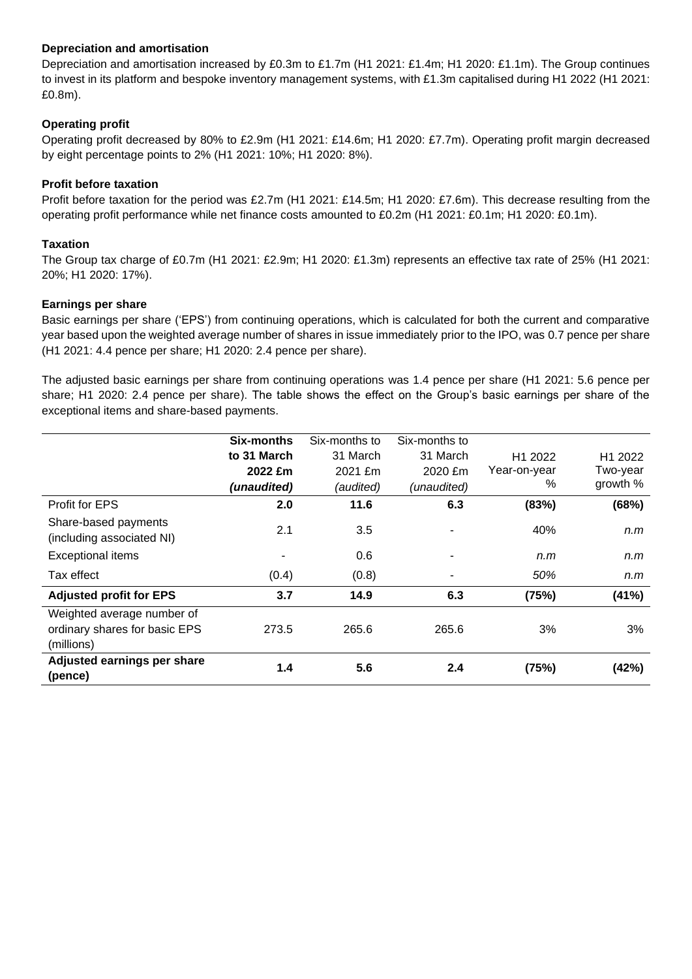# **Depreciation and amortisation**

Depreciation and amortisation increased by £0.3m to £1.7m (H1 2021: £1.4m; H1 2020: £1.1m). The Group continues to invest in its platform and bespoke inventory management systems, with £1.3m capitalised during H1 2022 (H1 2021: £0.8m).

# **Operating profit**

Operating profit decreased by 80% to £2.9m (H1 2021: £14.6m; H1 2020: £7.7m). Operating profit margin decreased by eight percentage points to 2% (H1 2021: 10%; H1 2020: 8%).

# **Profit before taxation**

Profit before taxation for the period was £2.7m (H1 2021: £14.5m; H1 2020: £7.6m). This decrease resulting from the operating profit performance while net finance costs amounted to £0.2m (H1 2021: £0.1m; H1 2020: £0.1m).

# **Taxation**

The Group tax charge of £0.7m (H1 2021: £2.9m; H1 2020: £1.3m) represents an effective tax rate of 25% (H1 2021: 20%; H1 2020: 17%).

## **Earnings per share**

Basic earnings per share ('EPS') from continuing operations, which is calculated for both the current and comparative year based upon the weighted average number of shares in issue immediately prior to the IPO, was 0.7 pence per share (H1 2021: 4.4 pence per share; H1 2020: 2.4 pence per share).

The adjusted basic earnings per share from continuing operations was 1.4 pence per share (H1 2021: 5.6 pence per share; H1 2020: 2.4 pence per share). The table shows the effect on the Group's basic earnings per share of the exceptional items and share-based payments.

|                                                                           | Six-months  | Six-months to | Six-months to |                     |          |
|---------------------------------------------------------------------------|-------------|---------------|---------------|---------------------|----------|
|                                                                           | to 31 March | 31 March      | 31 March      | H <sub>1</sub> 2022 | H1 2022  |
|                                                                           | 2022 £m     | 2021 £m       | 2020 £m       | Year-on-year        | Two-year |
|                                                                           | (unaudited) | (audited)     | (unaudited)   | %                   | growth % |
| <b>Profit for EPS</b>                                                     | 2.0         | 11.6          | 6.3           | (83%)               | (68%)    |
| Share-based payments<br>(including associated NI)                         | 2.1         | 3.5           |               | 40%                 | n.m      |
| <b>Exceptional items</b>                                                  |             | 0.6           | ٠             | n.m                 | n.m      |
| Tax effect                                                                | (0.4)       | (0.8)         |               | 50%                 | n.m      |
| <b>Adjusted profit for EPS</b>                                            | 3.7         | 14.9          | 6.3           | (75%)               | (41%)    |
| Weighted average number of<br>ordinary shares for basic EPS<br>(millions) | 273.5       | 265.6         | 265.6         | 3%                  | 3%       |
| Adjusted earnings per share<br>(pence)                                    | 1.4         | 5.6           | 2.4           | (75%)               | (42%)    |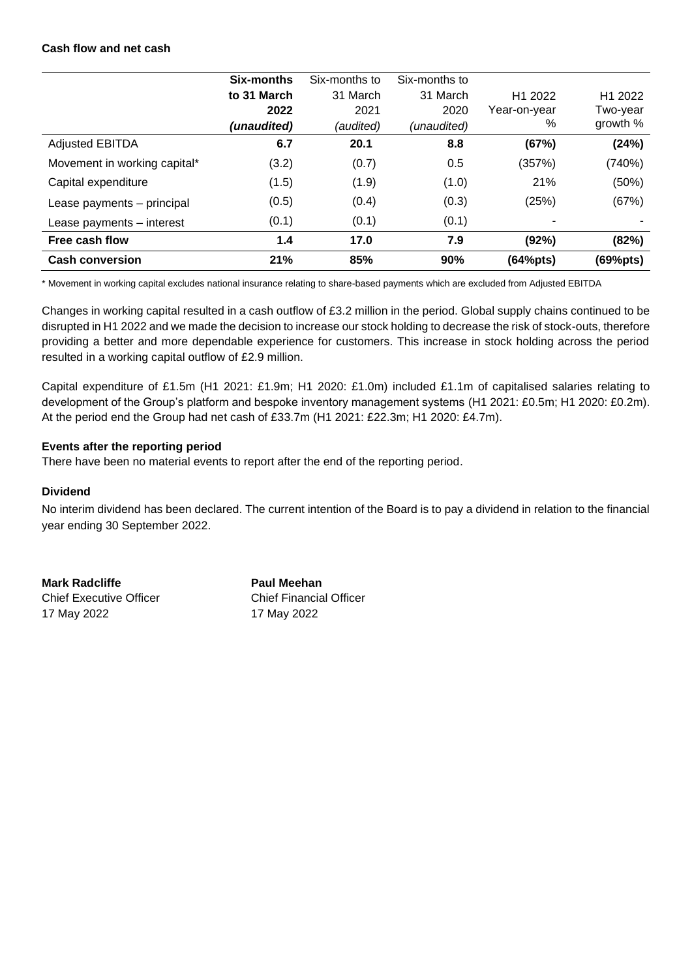## **Cash flow and net cash**

|                              | Six-months  | Six-months to | Six-months to |                     |                     |
|------------------------------|-------------|---------------|---------------|---------------------|---------------------|
|                              | to 31 March | 31 March      | 31 March      | H <sub>1</sub> 2022 | H <sub>1</sub> 2022 |
|                              | 2022        | 2021          | 2020          | Year-on-year        | Two-year            |
|                              | (unaudited) | (audited)     | (unaudited)   | %                   | growth %            |
| <b>Adjusted EBITDA</b>       | 6.7         | 20.1          | 8.8           | (67%)               | (24%)               |
| Movement in working capital* | (3.2)       | (0.7)         | 0.5           | (357%)              | (740%)              |
| Capital expenditure          | (1.5)       | (1.9)         | (1.0)         | 21%                 | (50%)               |
| Lease payments - principal   | (0.5)       | (0.4)         | (0.3)         | (25%)               | (67%)               |
| Lease payments - interest    | (0.1)       | (0.1)         | (0.1)         |                     |                     |
| Free cash flow               | 1.4         | 17.0          | 7.9           | (92%)               | (82%)               |
| <b>Cash conversion</b>       | 21%         | 85%           | 90%           | (64%pts)            | (69%pts)            |

\* Movement in working capital excludes national insurance relating to share-based payments which are excluded from Adjusted EBITDA

Changes in working capital resulted in a cash outflow of £3.2 million in the period. Global supply chains continued to be disrupted in H1 2022 and we made the decision to increase our stock holding to decrease the risk of stock-outs, therefore providing a better and more dependable experience for customers. This increase in stock holding across the period resulted in a working capital outflow of £2.9 million.

Capital expenditure of £1.5m (H1 2021: £1.9m; H1 2020: £1.0m) included £1.1m of capitalised salaries relating to development of the Group's platform and bespoke inventory management systems (H1 2021: £0.5m; H1 2020: £0.2m). At the period end the Group had net cash of £33.7m (H1 2021: £22.3m; H1 2020: £4.7m).

## **Events after the reporting period**

There have been no material events to report after the end of the reporting period.

## **Dividend**

No interim dividend has been declared. The current intention of the Board is to pay a dividend in relation to the financial year ending 30 September 2022.

**Mark Radcliffe Paul Meehan** Chief Executive Officer Chief Financial Officer

17 May 2022 17 May 2022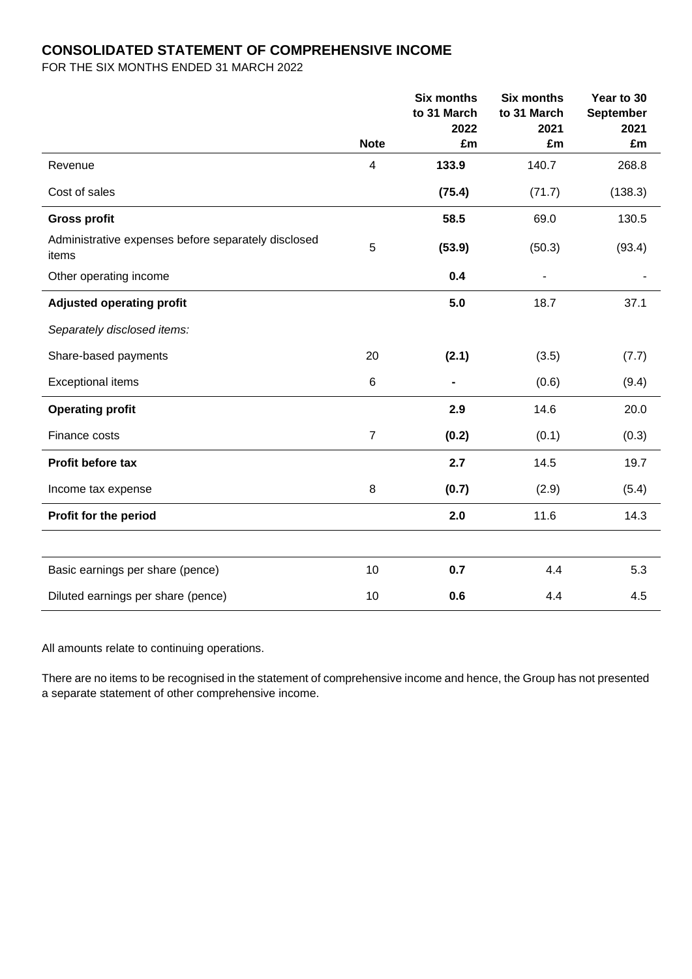# **CONSOLIDATED STATEMENT OF COMPREHENSIVE INCOME**

FOR THE SIX MONTHS ENDED 31 MARCH 2022

|                                                              |                | <b>Six months</b><br>to 31 March<br>2022 | <b>Six months</b><br>to 31 March<br>2021 | Year to 30<br><b>September</b><br>2021 |
|--------------------------------------------------------------|----------------|------------------------------------------|------------------------------------------|----------------------------------------|
|                                                              | <b>Note</b>    | £m                                       | £m                                       | £m                                     |
| Revenue                                                      | 4              | 133.9                                    | 140.7                                    | 268.8                                  |
| Cost of sales                                                |                | (75.4)                                   | (71.7)                                   | (138.3)                                |
| <b>Gross profit</b>                                          |                | 58.5                                     | 69.0                                     | 130.5                                  |
| Administrative expenses before separately disclosed<br>items | $\overline{5}$ | (53.9)                                   | (50.3)                                   | (93.4)                                 |
| Other operating income                                       |                | 0.4                                      | $\qquad \qquad \blacksquare$             |                                        |
| <b>Adjusted operating profit</b>                             |                | 5.0                                      | 18.7                                     | 37.1                                   |
| Separately disclosed items:                                  |                |                                          |                                          |                                        |
| Share-based payments                                         | 20             | (2.1)                                    | (3.5)                                    | (7.7)                                  |
| <b>Exceptional items</b>                                     | 6              |                                          | (0.6)                                    | (9.4)                                  |
| <b>Operating profit</b>                                      |                | 2.9                                      | 14.6                                     | 20.0                                   |
| Finance costs                                                | $\overline{7}$ | (0.2)                                    | (0.1)                                    | (0.3)                                  |
| Profit before tax                                            |                | 2.7                                      | 14.5                                     | 19.7                                   |
| Income tax expense                                           | 8              | (0.7)                                    | (2.9)                                    | (5.4)                                  |
| Profit for the period                                        |                | 2.0                                      | 11.6                                     | 14.3                                   |
|                                                              |                |                                          |                                          |                                        |
| Basic earnings per share (pence)                             | 10             | 0.7                                      | 4.4                                      | 5.3                                    |
| Diluted earnings per share (pence)                           | 10             | 0.6                                      | 4.4                                      | 4.5                                    |

All amounts relate to continuing operations.

There are no items to be recognised in the statement of comprehensive income and hence, the Group has not presented a separate statement of other comprehensive income.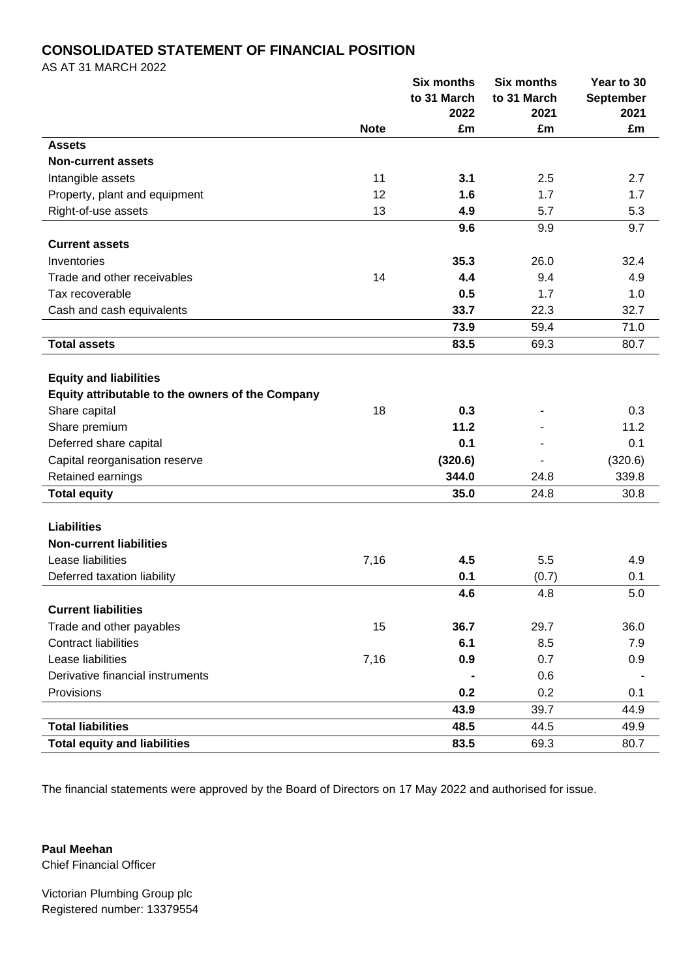# **CONSOLIDATED STATEMENT OF FINANCIAL POSITION**

AS AT 31 MARCH 2022

|                                                  |             | <b>Six months</b> | <b>Six months</b> | Year to 30       |
|--------------------------------------------------|-------------|-------------------|-------------------|------------------|
|                                                  |             | to 31 March       | to 31 March       | <b>September</b> |
|                                                  |             | 2022              | 2021              | 2021             |
|                                                  | <b>Note</b> | £m                | £m                | £m               |
| <b>Assets</b>                                    |             |                   |                   |                  |
| <b>Non-current assets</b>                        |             |                   |                   |                  |
| Intangible assets                                | 11          | 3.1               | 2.5               | 2.7              |
| Property, plant and equipment                    | 12          | 1.6               | 1.7               | 1.7              |
| Right-of-use assets                              | 13          | 4.9               | 5.7               | 5.3              |
|                                                  |             | 9.6               | 9.9               | 9.7              |
| <b>Current assets</b>                            |             |                   |                   |                  |
| Inventories                                      |             | 35.3              | 26.0              | 32.4             |
| Trade and other receivables                      | 14          | 4.4               | 9.4               | 4.9              |
| Tax recoverable                                  |             | 0.5               | 1.7               | 1.0              |
| Cash and cash equivalents                        |             | 33.7              | 22.3              | 32.7             |
|                                                  |             | 73.9              | 59.4              | 71.0             |
| <b>Total assets</b>                              |             | 83.5              | 69.3              | 80.7             |
|                                                  |             |                   |                   |                  |
| <b>Equity and liabilities</b>                    |             |                   |                   |                  |
| Equity attributable to the owners of the Company |             |                   |                   |                  |
| Share capital                                    | 18          | 0.3               |                   | 0.3              |
| Share premium                                    |             | 11.2              |                   | 11.2             |
| Deferred share capital                           |             | 0.1               |                   | 0.1              |
| Capital reorganisation reserve                   |             | (320.6)           |                   | (320.6)          |
| Retained earnings                                |             | 344.0             | 24.8              | 339.8            |
| <b>Total equity</b>                              |             | 35.0              | 24.8              | 30.8             |
|                                                  |             |                   |                   |                  |
| <b>Liabilities</b>                               |             |                   |                   |                  |
| <b>Non-current liabilities</b>                   |             |                   |                   |                  |
| Lease liabilities                                | 7,16        | 4.5               | 5.5               | 4.9              |
| Deferred taxation liability                      |             | 0.1               | (0.7)             | 0.1              |
|                                                  |             | 4.6               | 4.8               | 5.0              |
| <b>Current liabilities</b>                       |             |                   |                   |                  |
| Trade and other payables                         | 15          | 36.7              | 29.7              | 36.0             |
| <b>Contract liabilities</b>                      |             | 6.1               | 8.5               | 7.9              |
| Lease liabilities                                | 7,16        | 0.9               | 0.7               | 0.9              |
| Derivative financial instruments                 |             |                   | 0.6               |                  |
| Provisions                                       |             | 0.2               | 0.2               | 0.1              |
|                                                  |             | 43.9              | 39.7              | 44.9             |
| <b>Total liabilities</b>                         |             | 48.5              | 44.5              | 49.9             |
| <b>Total equity and liabilities</b>              |             | 83.5              | 69.3              | 80.7             |

The financial statements were approved by the Board of Directors on 17 May 2022 and authorised for issue.

**Paul Meehan** Chief Financial Officer

Victorian Plumbing Group plc Registered number: 13379554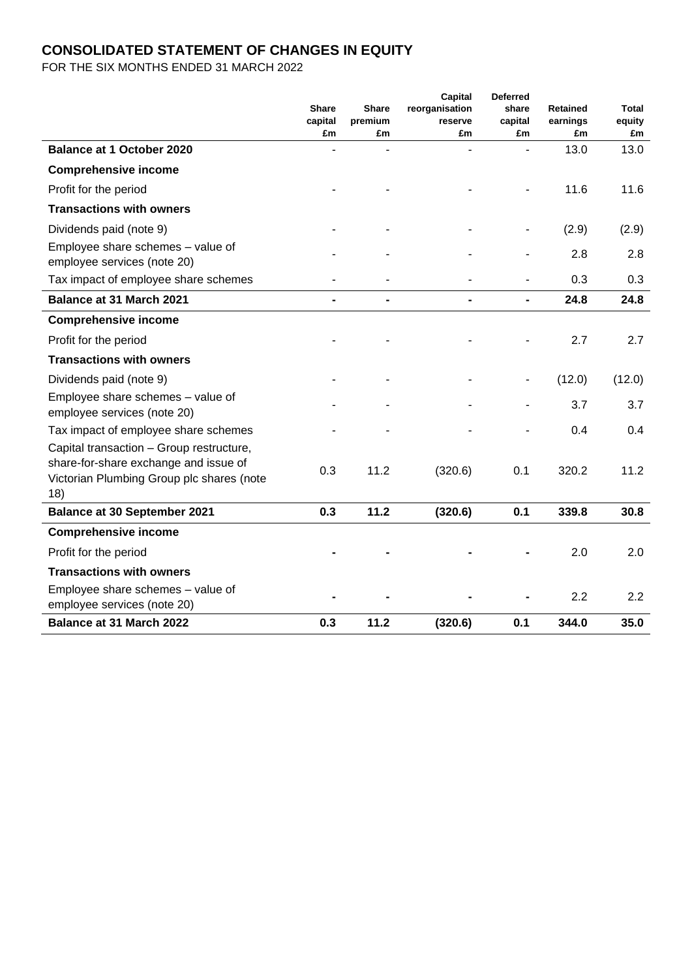# **CONSOLIDATED STATEMENT OF CHANGES IN EQUITY**

FOR THE SIX MONTHS ENDED 31 MARCH 2022

|                                                                                    | <b>Share</b>  | <b>Share</b>  | Capital<br>reorganisation | <b>Deferred</b><br>share | <b>Retained</b> | Total        |
|------------------------------------------------------------------------------------|---------------|---------------|---------------------------|--------------------------|-----------------|--------------|
|                                                                                    | capital<br>£m | premium<br>£m | reserve<br>£m             | capital<br>£m            | earnings<br>£m  | equity<br>£m |
| <b>Balance at 1 October 2020</b>                                                   |               |               |                           |                          | 13.0            | 13.0         |
| <b>Comprehensive income</b>                                                        |               |               |                           |                          |                 |              |
| Profit for the period                                                              |               |               |                           |                          | 11.6            | 11.6         |
| <b>Transactions with owners</b>                                                    |               |               |                           |                          |                 |              |
| Dividends paid (note 9)                                                            |               |               |                           |                          | (2.9)           | (2.9)        |
| Employee share schemes - value of<br>employee services (note 20)                   |               |               |                           |                          | 2.8             | 2.8          |
| Tax impact of employee share schemes                                               |               |               |                           |                          | 0.3             | 0.3          |
| Balance at 31 March 2021                                                           |               |               |                           | $\blacksquare$           | 24.8            | 24.8         |
| <b>Comprehensive income</b>                                                        |               |               |                           |                          |                 |              |
| Profit for the period                                                              |               |               |                           |                          | 2.7             | 2.7          |
| <b>Transactions with owners</b>                                                    |               |               |                           |                          |                 |              |
| Dividends paid (note 9)                                                            |               |               |                           |                          | (12.0)          | (12.0)       |
| Employee share schemes - value of<br>employee services (note 20)                   |               |               |                           |                          | 3.7             | 3.7          |
| Tax impact of employee share schemes                                               |               |               |                           |                          | 0.4             | 0.4          |
| Capital transaction - Group restructure,                                           |               |               |                           |                          |                 |              |
| share-for-share exchange and issue of<br>Victorian Plumbing Group plc shares (note | 0.3           | 11.2          | (320.6)                   | 0.1                      | 320.2           | 11.2         |
| 18)                                                                                |               |               |                           |                          |                 |              |
| <b>Balance at 30 September 2021</b>                                                | 0.3           | 11.2          | (320.6)                   | 0.1                      | 339.8           | 30.8         |
| <b>Comprehensive income</b>                                                        |               |               |                           |                          |                 |              |
| Profit for the period                                                              |               |               |                           |                          | 2.0             | 2.0          |
| <b>Transactions with owners</b>                                                    |               |               |                           |                          |                 |              |
| Employee share schemes - value of<br>employee services (note 20)                   |               |               |                           |                          | 2.2             | 2.2          |
| <b>Balance at 31 March 2022</b>                                                    | 0.3           | 11.2          | (320.6)                   | 0.1                      | 344.0           | 35.0         |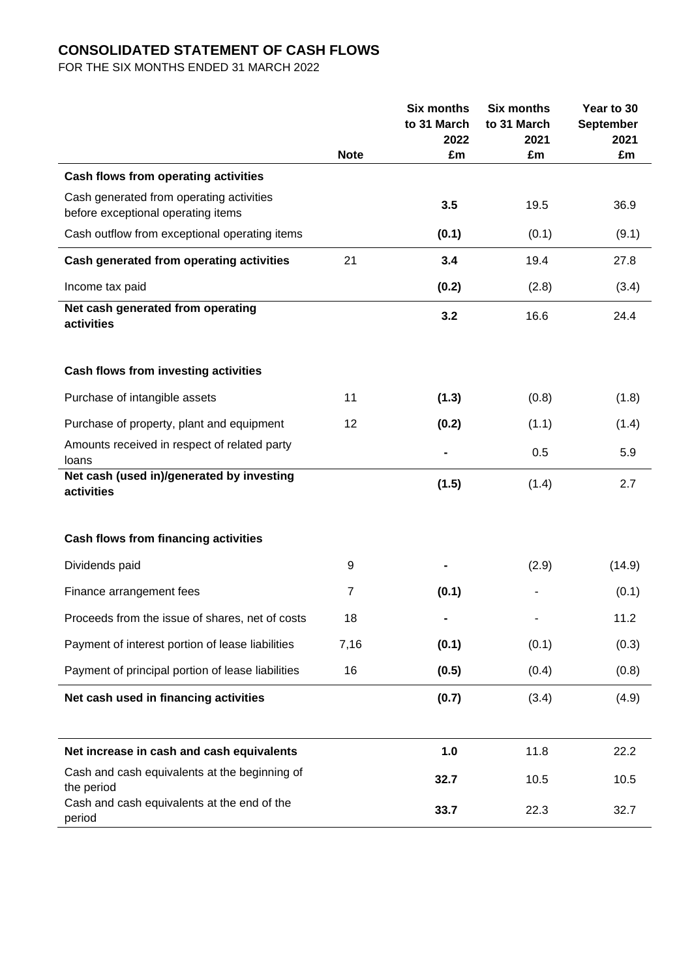# **CONSOLIDATED STATEMENT OF CASH FLOWS**

FOR THE SIX MONTHS ENDED 31 MARCH 2022

|                                                                                  |             | <b>Six months</b><br>to 31 March<br>2022 | <b>Six months</b><br>to 31 March<br>2021 | Year to 30<br><b>September</b><br>2021 |
|----------------------------------------------------------------------------------|-------------|------------------------------------------|------------------------------------------|----------------------------------------|
|                                                                                  | <b>Note</b> | £m                                       | £m                                       | £m                                     |
| Cash flows from operating activities<br>Cash generated from operating activities |             | 3.5                                      | 19.5                                     | 36.9                                   |
| before exceptional operating items                                               |             |                                          |                                          |                                        |
| Cash outflow from exceptional operating items                                    |             | (0.1)                                    | (0.1)                                    | (9.1)                                  |
| Cash generated from operating activities                                         | 21          | 3.4                                      | 19.4                                     | 27.8                                   |
| Income tax paid                                                                  |             | (0.2)                                    | (2.8)                                    | (3.4)                                  |
| Net cash generated from operating<br>activities                                  |             | 3.2                                      | 16.6                                     | 24.4                                   |
| Cash flows from investing activities                                             |             |                                          |                                          |                                        |
| Purchase of intangible assets                                                    | 11          | (1.3)                                    | (0.8)                                    | (1.8)                                  |
| Purchase of property, plant and equipment                                        | 12          | (0.2)                                    | (1.1)                                    | (1.4)                                  |
| Amounts received in respect of related party<br>loans                            |             |                                          | 0.5                                      | 5.9                                    |
| Net cash (used in)/generated by investing<br>activities                          |             | (1.5)                                    | (1.4)                                    | 2.7                                    |
| <b>Cash flows from financing activities</b>                                      |             |                                          |                                          |                                        |
| Dividends paid                                                                   | 9           |                                          | (2.9)                                    | (14.9)                                 |
| Finance arrangement fees                                                         | 7           | (0.1)                                    |                                          | (0.1)                                  |
| Proceeds from the issue of shares, net of costs                                  | 18          |                                          |                                          | 11.2                                   |
| Payment of interest portion of lease liabilities                                 | 7,16        | (0.1)                                    | (0.1)                                    | (0.3)                                  |
| Payment of principal portion of lease liabilities                                | 16          | (0.5)                                    | (0.4)                                    | (0.8)                                  |
| Net cash used in financing activities                                            |             | (0.7)                                    | (3.4)                                    | (4.9)                                  |
| Net increase in cash and cash equivalents                                        |             | 1.0                                      | 11.8                                     | 22.2                                   |
| Cash and cash equivalents at the beginning of<br>the period                      |             | 32.7                                     | 10.5                                     | 10.5                                   |
| Cash and cash equivalents at the end of the<br>period                            |             | 33.7                                     | 22.3                                     | 32.7                                   |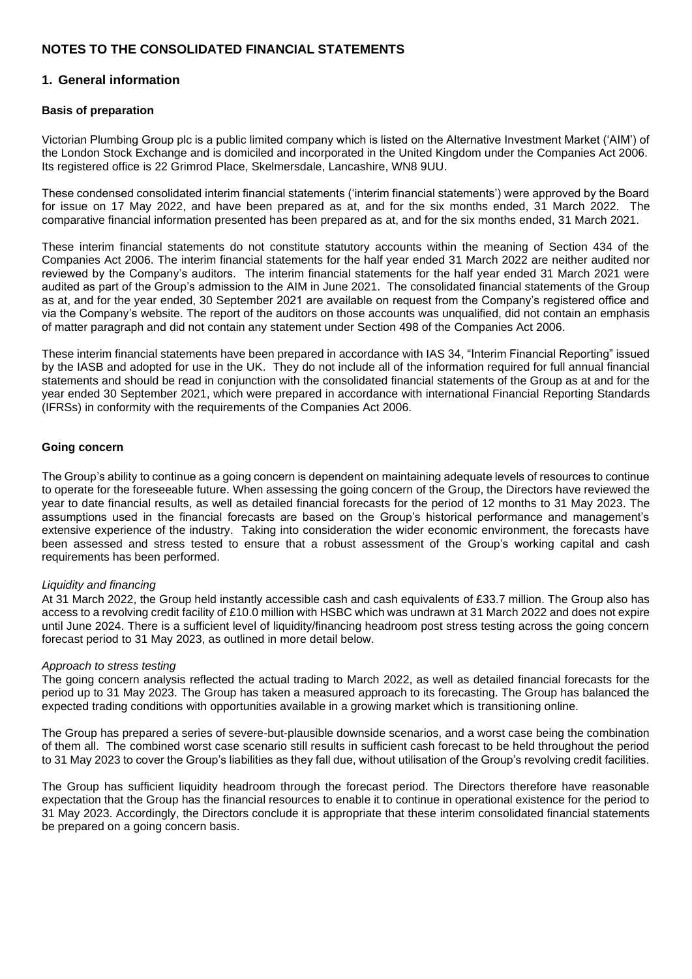# **NOTES TO THE CONSOLIDATED FINANCIAL STATEMENTS**

# **1. General information**

## **Basis of preparation**

Victorian Plumbing Group plc is a public limited company which is listed on the Alternative Investment Market ('AIM') of the London Stock Exchange and is domiciled and incorporated in the United Kingdom under the Companies Act 2006. Its registered office is 22 Grimrod Place, Skelmersdale, Lancashire, WN8 9UU.

These condensed consolidated interim financial statements ('interim financial statements') were approved by the Board for issue on 17 May 2022, and have been prepared as at, and for the six months ended, 31 March 2022. The comparative financial information presented has been prepared as at, and for the six months ended, 31 March 2021.

These interim financial statements do not constitute statutory accounts within the meaning of Section 434 of the Companies Act 2006. The interim financial statements for the half year ended 31 March 2022 are neither audited nor reviewed by the Company's auditors. The interim financial statements for the half year ended 31 March 2021 were audited as part of the Group's admission to the AIM in June 2021. The consolidated financial statements of the Group as at, and for the year ended, 30 September 2021 are available on request from the Company's registered office and via the Company's website. The report of the auditors on those accounts was unqualified, did not contain an emphasis of matter paragraph and did not contain any statement under Section 498 of the Companies Act 2006.

These interim financial statements have been prepared in accordance with IAS 34, "Interim Financial Reporting" issued by the IASB and adopted for use in the UK. They do not include all of the information required for full annual financial statements and should be read in conjunction with the consolidated financial statements of the Group as at and for the year ended 30 September 2021, which were prepared in accordance with international Financial Reporting Standards (IFRSs) in conformity with the requirements of the Companies Act 2006.

#### **Going concern**

The Group's ability to continue as a going concern is dependent on maintaining adequate levels of resources to continue to operate for the foreseeable future. When assessing the going concern of the Group, the Directors have reviewed the year to date financial results, as well as detailed financial forecasts for the period of 12 months to 31 May 2023. The assumptions used in the financial forecasts are based on the Group's historical performance and management's extensive experience of the industry. Taking into consideration the wider economic environment, the forecasts have been assessed and stress tested to ensure that a robust assessment of the Group's working capital and cash requirements has been performed.

#### *Liquidity and financing*

At 31 March 2022, the Group held instantly accessible cash and cash equivalents of £33.7 million. The Group also has access to a revolving credit facility of £10.0 million with HSBC which was undrawn at 31 March 2022 and does not expire until June 2024. There is a sufficient level of liquidity/financing headroom post stress testing across the going concern forecast period to 31 May 2023, as outlined in more detail below.

#### *Approach to stress testing*

The going concern analysis reflected the actual trading to March 2022, as well as detailed financial forecasts for the period up to 31 May 2023. The Group has taken a measured approach to its forecasting. The Group has balanced the expected trading conditions with opportunities available in a growing market which is transitioning online.

The Group has prepared a series of severe-but-plausible downside scenarios, and a worst case being the combination of them all. The combined worst case scenario still results in sufficient cash forecast to be held throughout the period to 31 May 2023 to cover the Group's liabilities as they fall due, without utilisation of the Group's revolving credit facilities.

The Group has sufficient liquidity headroom through the forecast period. The Directors therefore have reasonable expectation that the Group has the financial resources to enable it to continue in operational existence for the period to 31 May 2023. Accordingly, the Directors conclude it is appropriate that these interim consolidated financial statements be prepared on a going concern basis.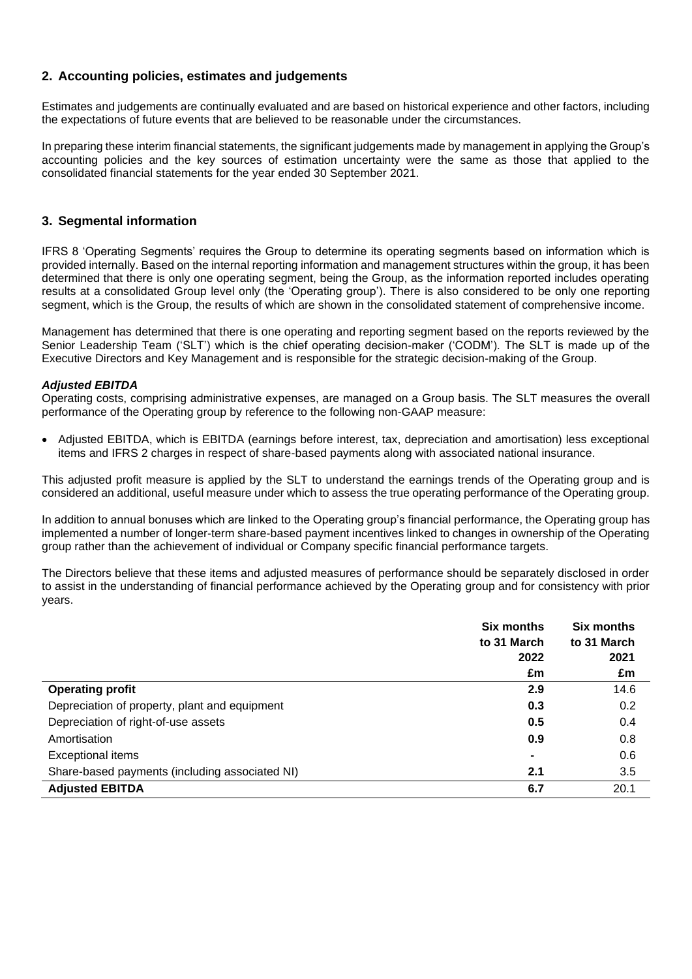# **2. Accounting policies, estimates and judgements**

Estimates and judgements are continually evaluated and are based on historical experience and other factors, including the expectations of future events that are believed to be reasonable under the circumstances.

In preparing these interim financial statements, the significant judgements made by management in applying the Group's accounting policies and the key sources of estimation uncertainty were the same as those that applied to the consolidated financial statements for the year ended 30 September 2021.

# **3. Segmental information**

IFRS 8 'Operating Segments' requires the Group to determine its operating segments based on information which is provided internally. Based on the internal reporting information and management structures within the group, it has been determined that there is only one operating segment, being the Group, as the information reported includes operating results at a consolidated Group level only (the 'Operating group'). There is also considered to be only one reporting segment, which is the Group, the results of which are shown in the consolidated statement of comprehensive income.

Management has determined that there is one operating and reporting segment based on the reports reviewed by the Senior Leadership Team ('SLT') which is the chief operating decision-maker ('CODM'). The SLT is made up of the Executive Directors and Key Management and is responsible for the strategic decision-making of the Group.

## *Adjusted EBITDA*

Operating costs, comprising administrative expenses, are managed on a Group basis. The SLT measures the overall performance of the Operating group by reference to the following non-GAAP measure:

• Adjusted EBITDA, which is EBITDA (earnings before interest, tax, depreciation and amortisation) less exceptional items and IFRS 2 charges in respect of share-based payments along with associated national insurance.

This adjusted profit measure is applied by the SLT to understand the earnings trends of the Operating group and is considered an additional, useful measure under which to assess the true operating performance of the Operating group.

In addition to annual bonuses which are linked to the Operating group's financial performance, the Operating group has implemented a number of longer-term share-based payment incentives linked to changes in ownership of the Operating group rather than the achievement of individual or Company specific financial performance targets.

The Directors believe that these items and adjusted measures of performance should be separately disclosed in order to assist in the understanding of financial performance achieved by the Operating group and for consistency with prior years.

|                                                | Six months<br>to 31 March | Six months<br>to 31 March |
|------------------------------------------------|---------------------------|---------------------------|
|                                                | 2022                      | 2021                      |
|                                                | £m                        | £m                        |
| <b>Operating profit</b>                        | 2.9                       | 14.6                      |
| Depreciation of property, plant and equipment  | 0.3                       | 0.2                       |
| Depreciation of right-of-use assets            | 0.5                       | 0.4                       |
| Amortisation                                   | 0.9                       | 0.8                       |
| <b>Exceptional items</b>                       | $\blacksquare$            | 0.6                       |
| Share-based payments (including associated NI) | 2.1                       | 3.5                       |
| <b>Adjusted EBITDA</b>                         | 6.7                       | 20.1                      |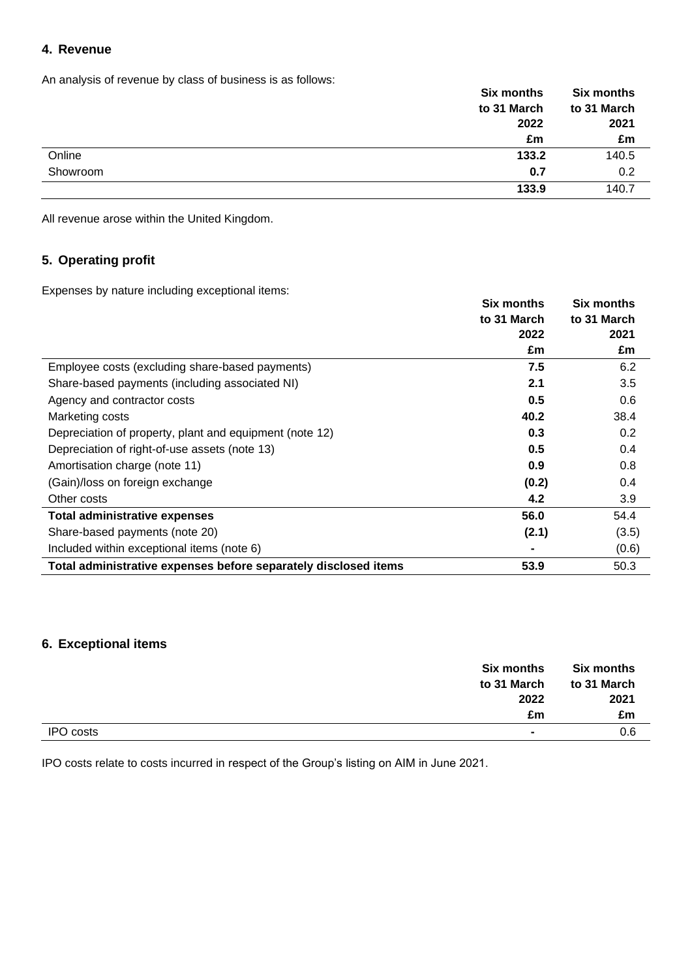# **4. Revenue**

An analysis of revenue by class of business is as follows:

|          | <b>Six months</b> | <b>Six months</b> |
|----------|-------------------|-------------------|
|          | to 31 March       | to 31 March       |
|          | 2022              | 2021              |
|          | £m                | £m                |
| Online   | 133.2             | 140.5             |
| Showroom | 0.7               | 0.2               |
|          | 133.9             | 140.7             |

All revenue arose within the United Kingdom.

# **5. Operating profit**

Expenses by nature including exceptional items:

|                                                                 | <b>Six months</b> | Six months  |
|-----------------------------------------------------------------|-------------------|-------------|
|                                                                 | to 31 March       | to 31 March |
|                                                                 | 2022              | 2021        |
|                                                                 | £m                | £m          |
| Employee costs (excluding share-based payments)                 | 7.5               | 6.2         |
| Share-based payments (including associated NI)                  | 2.1               | 3.5         |
| Agency and contractor costs                                     | 0.5               | 0.6         |
| Marketing costs                                                 | 40.2              | 38.4        |
| Depreciation of property, plant and equipment (note 12)         | 0.3               | 0.2         |
| Depreciation of right-of-use assets (note 13)                   | 0.5               | 0.4         |
| Amortisation charge (note 11)                                   | 0.9               | 0.8         |
| (Gain)/loss on foreign exchange                                 | (0.2)             | 0.4         |
| Other costs                                                     | 4.2               | 3.9         |
| Total administrative expenses                                   | 56.0              | 54.4        |
| Share-based payments (note 20)                                  | (2.1)             | (3.5)       |
| Included within exceptional items (note 6)                      |                   | (0.6)       |
| Total administrative expenses before separately disclosed items | 53.9              | 50.3        |

# **6. Exceptional items**

|           | <b>Six months</b><br>to 31 March<br>2022<br>£m | <b>Six months</b><br>to 31 March<br>2021<br>£m |
|-----------|------------------------------------------------|------------------------------------------------|
| IPO costs | $\overline{\phantom{a}}$                       | 0.6                                            |

IPO costs relate to costs incurred in respect of the Group's listing on AIM in June 2021.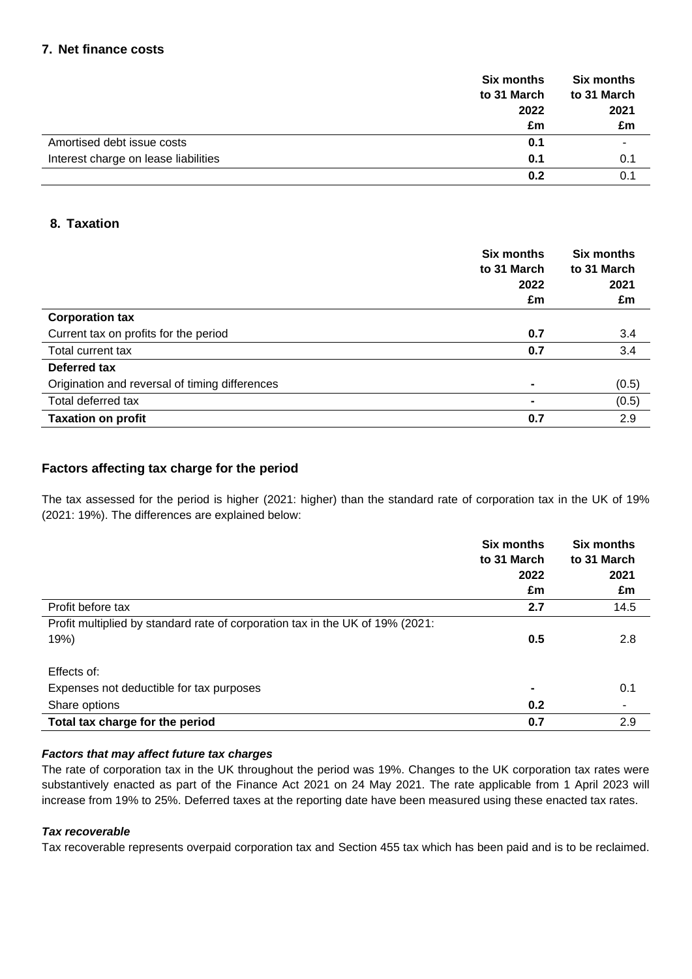# **7. Net finance costs**

|                                      | <b>Six months</b> | <b>Six months</b> |
|--------------------------------------|-------------------|-------------------|
|                                      | to 31 March       | to 31 March       |
|                                      | 2022              | 2021              |
|                                      | £m                | £m                |
| Amortised debt issue costs           | 0.1               |                   |
| Interest charge on lease liabilities | 0.1               | 0.1               |
|                                      | 0.2               |                   |

# **8. Taxation**

|                                                | <b>Six months</b><br>to 31 March | <b>Six months</b><br>to 31 March |
|------------------------------------------------|----------------------------------|----------------------------------|
|                                                | 2022<br>£m                       | 2021<br>£m                       |
| <b>Corporation tax</b>                         |                                  |                                  |
| Current tax on profits for the period          | 0.7                              | 3.4                              |
| Total current tax                              | 0.7                              | 3.4                              |
| Deferred tax                                   |                                  |                                  |
| Origination and reversal of timing differences | $\blacksquare$                   | (0.5)                            |
| Total deferred tax                             | $\blacksquare$                   | (0.5)                            |
| <b>Taxation on profit</b>                      | 0.7                              | 2.9                              |

# **Factors affecting tax charge for the period**

The tax assessed for the period is higher (2021: higher) than the standard rate of corporation tax in the UK of 19% (2021: 19%). The differences are explained below:

|                                                                               | <b>Six months</b><br>to 31 March | <b>Six months</b><br>to 31 March |
|-------------------------------------------------------------------------------|----------------------------------|----------------------------------|
|                                                                               | 2022                             | 2021                             |
|                                                                               | £m                               | £m                               |
| Profit before tax                                                             | 2.7                              | 14.5                             |
| Profit multiplied by standard rate of corporation tax in the UK of 19% (2021: |                                  |                                  |
| 19%)                                                                          | 0.5                              | 2.8                              |
| Effects of:                                                                   |                                  |                                  |
| Expenses not deductible for tax purposes                                      |                                  | 0.1                              |
| Share options                                                                 | 0.2                              |                                  |
| Total tax charge for the period                                               | 0.7                              | 2.9                              |

## *Factors that may affect future tax charges*

The rate of corporation tax in the UK throughout the period was 19%. Changes to the UK corporation tax rates were substantively enacted as part of the Finance Act 2021 on 24 May 2021. The rate applicable from 1 April 2023 will increase from 19% to 25%. Deferred taxes at the reporting date have been measured using these enacted tax rates.

## *Tax recoverable*

Tax recoverable represents overpaid corporation tax and Section 455 tax which has been paid and is to be reclaimed.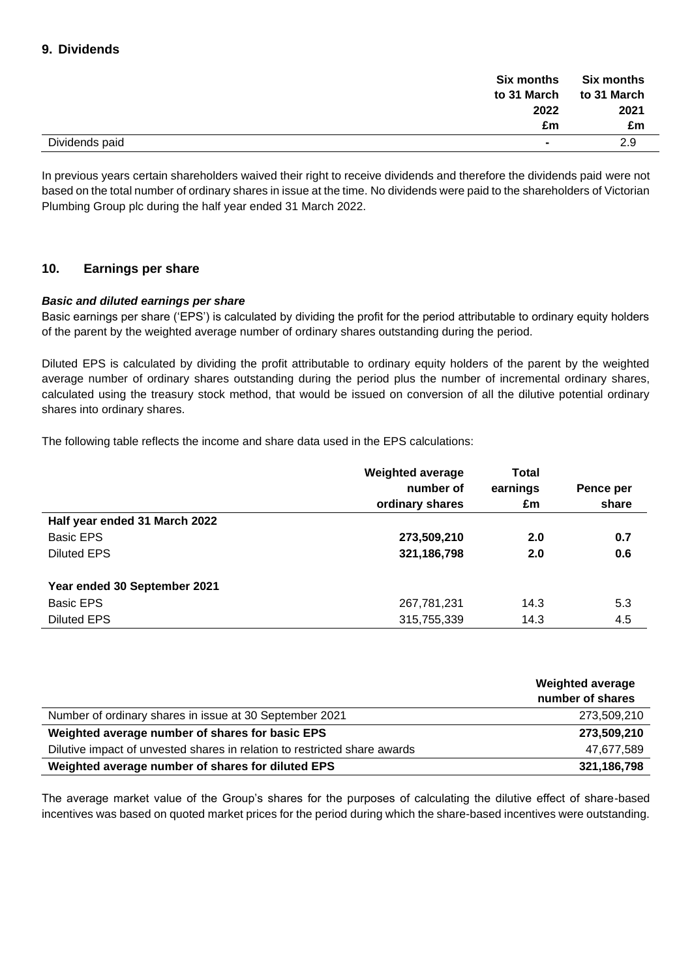| Six months<br>to 31 March                  | <b>Six months</b><br>to 31 March |  |
|--------------------------------------------|----------------------------------|--|
| 2022                                       | 2021                             |  |
| £m                                         | £m                               |  |
| Dividends paid<br>$\overline{\phantom{a}}$ | 2.9                              |  |

In previous years certain shareholders waived their right to receive dividends and therefore the dividends paid were not based on the total number of ordinary shares in issue at the time. No dividends were paid to the shareholders of Victorian Plumbing Group plc during the half year ended 31 March 2022.

# **10. Earnings per share**

## *Basic and diluted earnings per share*

Basic earnings per share ('EPS') is calculated by dividing the profit for the period attributable to ordinary equity holders of the parent by the weighted average number of ordinary shares outstanding during the period.

Diluted EPS is calculated by dividing the profit attributable to ordinary equity holders of the parent by the weighted average number of ordinary shares outstanding during the period plus the number of incremental ordinary shares, calculated using the treasury stock method, that would be issued on conversion of all the dilutive potential ordinary shares into ordinary shares.

The following table reflects the income and share data used in the EPS calculations:

|                               | <b>Weighted average</b><br>number of<br>ordinary shares | Total<br>earnings<br>£m | Pence per<br>share |
|-------------------------------|---------------------------------------------------------|-------------------------|--------------------|
| Half year ended 31 March 2022 |                                                         |                         |                    |
| Basic EPS                     | 273,509,210                                             | 2.0                     | 0.7                |
| <b>Diluted EPS</b>            | 321, 186, 798                                           | 2.0                     | 0.6                |
| Year ended 30 September 2021  |                                                         |                         |                    |
| Basic EPS                     | 267,781,231                                             | 14.3                    | 5.3                |
| <b>Diluted EPS</b>            | 315,755,339                                             | 14.3                    | 4.5                |

|                                                                           | <b>Weighted average</b><br>number of shares |
|---------------------------------------------------------------------------|---------------------------------------------|
| Number of ordinary shares in issue at 30 September 2021                   | 273,509,210                                 |
| Weighted average number of shares for basic EPS                           | 273,509,210                                 |
| Dilutive impact of unvested shares in relation to restricted share awards | 47,677,589                                  |
| Weighted average number of shares for diluted EPS                         | 321,186,798                                 |

The average market value of the Group's shares for the purposes of calculating the dilutive effect of share-based incentives was based on quoted market prices for the period during which the share-based incentives were outstanding.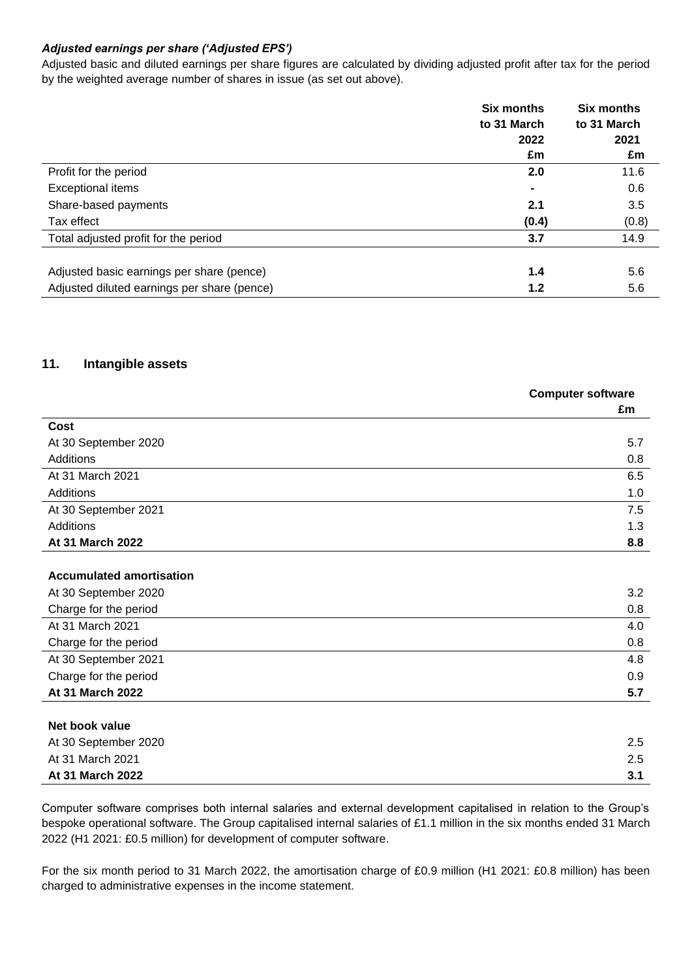# *Adjusted earnings per share ('Adjusted EPS')*

Adjusted basic and diluted earnings per share figures are calculated by dividing adjusted profit after tax for the period by the weighted average number of shares in issue (as set out above).

|                                             | <b>Six months</b><br>to 31 March | <b>Six months</b><br>to 31 March |  |
|---------------------------------------------|----------------------------------|----------------------------------|--|
|                                             | 2022                             | 2021                             |  |
|                                             | £m                               | £m                               |  |
| Profit for the period                       | 2.0                              | 11.6                             |  |
| <b>Exceptional items</b>                    | $\blacksquare$                   | 0.6                              |  |
| Share-based payments                        | 2.1                              | 3.5                              |  |
| Tax effect                                  | (0.4)                            | (0.8)                            |  |
| Total adjusted profit for the period        | 3.7                              | 14.9                             |  |
|                                             |                                  |                                  |  |
| Adjusted basic earnings per share (pence)   | 1.4                              | 5.6                              |  |
| Adjusted diluted earnings per share (pence) | 1.2                              | 5.6                              |  |

# **11. Intangible assets**

|                                 | <b>Computer software</b><br>£m |
|---------------------------------|--------------------------------|
| Cost                            |                                |
| At 30 September 2020            | 5.7                            |
| <b>Additions</b>                | 0.8                            |
| At 31 March 2021                | 6.5                            |
| Additions                       | 1.0                            |
| At 30 September 2021            | 7.5                            |
| Additions                       | 1.3                            |
| At 31 March 2022                | 8.8                            |
|                                 |                                |
| <b>Accumulated amortisation</b> |                                |
| At 30 September 2020            | 3.2                            |
| Charge for the period           | 0.8                            |
| At 31 March 2021                | 4.0                            |
| Charge for the period           | 0.8                            |
| At 30 September 2021            | 4.8                            |
| Charge for the period           | 0.9                            |
| At 31 March 2022                | 5.7                            |
|                                 |                                |
| Net book value                  |                                |
| At 30 September 2020            | 2.5                            |
| At 31 March 2021                | 2.5                            |
| At 31 March 2022                | 3.1                            |

Computer software comprises both internal salaries and external development capitalised in relation to the Group's bespoke operational software. The Group capitalised internal salaries of £1.1 million in the six months ended 31 March 2022 (H1 2021: £0.5 million) for development of computer software.

For the six month period to 31 March 2022, the amortisation charge of £0.9 million (H1 2021: £0.8 million) has been charged to administrative expenses in the income statement.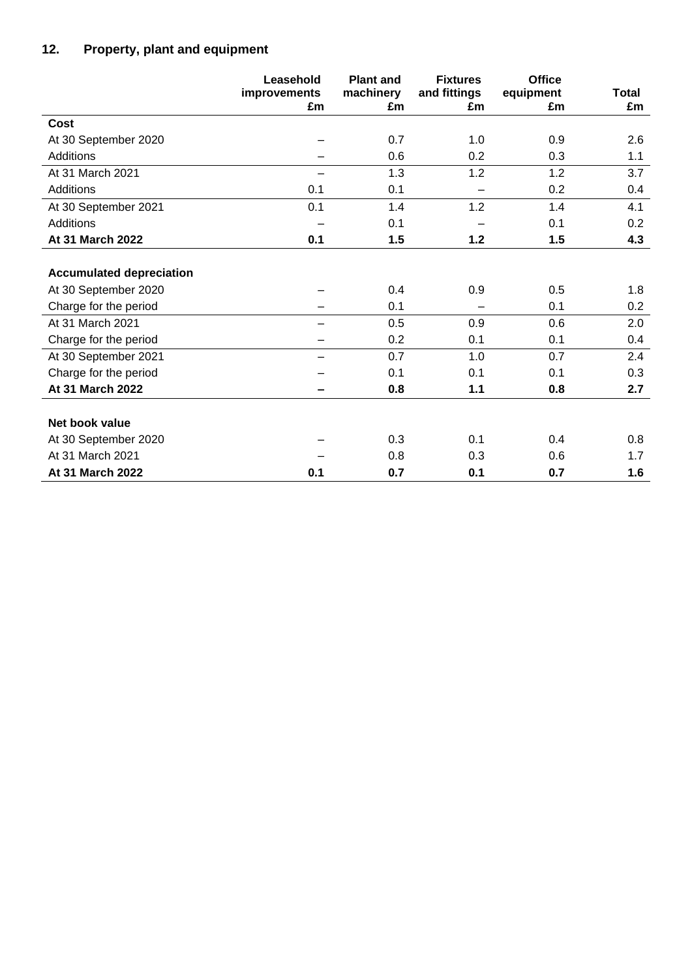# **12. Property, plant and equipment**

|                                 | Leasehold<br>improvements<br>£m | <b>Plant and</b><br>machinery<br>£m | <b>Fixtures</b><br>and fittings<br>£m | <b>Office</b><br>equipment<br>£m | Total<br>£m |
|---------------------------------|---------------------------------|-------------------------------------|---------------------------------------|----------------------------------|-------------|
| Cost                            |                                 |                                     |                                       |                                  |             |
| At 30 September 2020            |                                 | 0.7                                 | 1.0                                   | 0.9                              | 2.6         |
| Additions                       |                                 | 0.6                                 | 0.2                                   | 0.3                              | 1.1         |
| At 31 March 2021                | $\overline{\phantom{0}}$        | 1.3                                 | 1.2                                   | 1.2                              | 3.7         |
| Additions                       | 0.1                             | 0.1                                 |                                       | 0.2                              | 0.4         |
| At 30 September 2021            | 0.1                             | 1.4                                 | 1.2                                   | 1.4                              | 4.1         |
| Additions                       |                                 | 0.1                                 |                                       | 0.1                              | 0.2         |
| At 31 March 2022                | 0.1                             | 1.5                                 | $1.2$                                 | 1.5                              | 4.3         |
| <b>Accumulated depreciation</b> |                                 |                                     |                                       |                                  |             |
| At 30 September 2020            |                                 | 0.4                                 | 0.9                                   | 0.5                              | 1.8         |
| Charge for the period           |                                 | 0.1                                 |                                       | 0.1                              | 0.2         |
| At 31 March 2021                |                                 | 0.5                                 | 0.9                                   | 0.6                              | 2.0         |
| Charge for the period           |                                 | 0.2                                 | 0.1                                   | 0.1                              | 0.4         |
| At 30 September 2021            |                                 | 0.7                                 | 1.0                                   | 0.7                              | 2.4         |
| Charge for the period           |                                 | 0.1                                 | 0.1                                   | 0.1                              | 0.3         |
| At 31 March 2022                |                                 | 0.8                                 | 1.1                                   | 0.8                              | 2.7         |
| Net book value                  |                                 |                                     |                                       |                                  |             |
| At 30 September 2020            |                                 | 0.3                                 | 0.1                                   | 0.4                              | 0.8         |
| At 31 March 2021                |                                 | 0.8                                 | 0.3                                   | 0.6                              | 1.7         |
| At 31 March 2022                | 0.1                             | 0.7                                 | 0.1                                   | 0.7                              | 1.6         |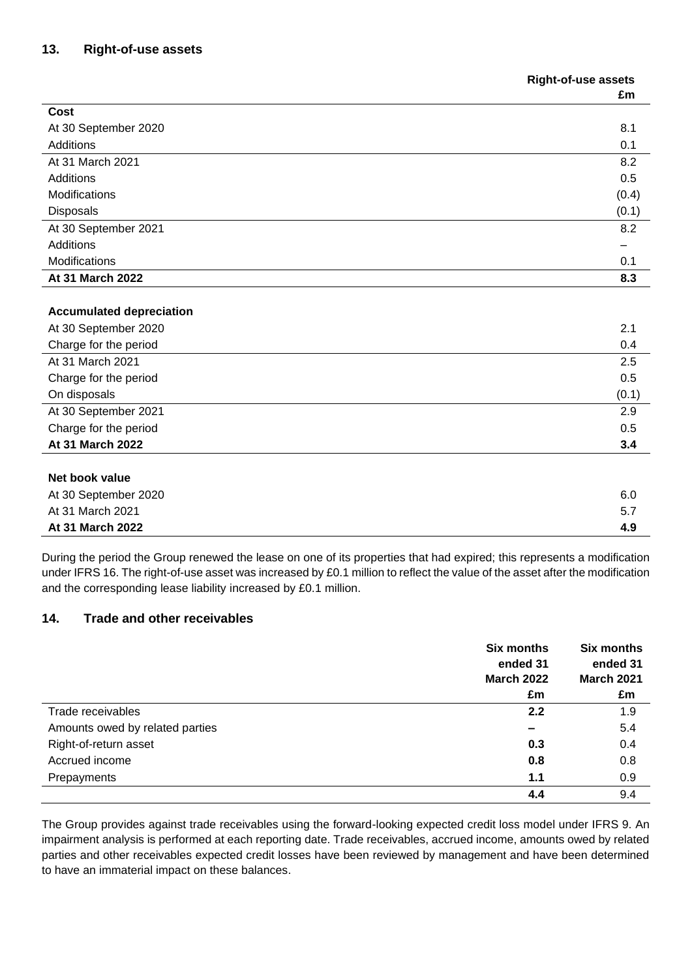# **13. Right-of-use assets**

|                                 | <b>Right-of-use assets</b> |  |
|---------------------------------|----------------------------|--|
|                                 | £m                         |  |
| Cost                            |                            |  |
| At 30 September 2020            | 8.1                        |  |
| Additions                       | 0.1                        |  |
| At 31 March 2021                | 8.2                        |  |
| Additions                       | 0.5                        |  |
| <b>Modifications</b>            | (0.4)                      |  |
| Disposals                       | (0.1)                      |  |
| At 30 September 2021            | 8.2                        |  |
| Additions                       |                            |  |
| Modifications                   | 0.1                        |  |
| At 31 March 2022                | 8.3                        |  |
|                                 |                            |  |
| <b>Accumulated depreciation</b> |                            |  |
| At 30 September 2020            | 2.1                        |  |
| Charge for the period           | 0.4                        |  |
| At 31 March 2021                | 2.5                        |  |
| Charge for the period           | 0.5                        |  |
| On disposals                    | (0.1)                      |  |
| At 30 September 2021            | 2.9                        |  |
| Charge for the period           | 0.5                        |  |

**At 31 March 2022 3.4**

## **Net book value**

| .                    |     |
|----------------------|-----|
| At 30 September 2020 | 6.0 |
| At 31 March 2021     | 5.7 |
| At 31 March 2022     | 4.9 |
|                      |     |

During the period the Group renewed the lease on one of its properties that had expired; this represents a modification under IFRS 16. The right-of-use asset was increased by £0.1 million to reflect the value of the asset after the modification and the corresponding lease liability increased by £0.1 million.

# **14. Trade and other receivables**

|                                 | <b>Six months</b><br>ended 31<br><b>March 2022</b><br>£m | <b>Six months</b><br>ended 31<br><b>March 2021</b><br>£m |
|---------------------------------|----------------------------------------------------------|----------------------------------------------------------|
| Trade receivables               | 2.2                                                      | 1.9                                                      |
| Amounts owed by related parties | $\overline{\phantom{0}}$                                 | 5.4                                                      |
| Right-of-return asset           | 0.3                                                      | 0.4                                                      |
| Accrued income                  | 0.8                                                      | 0.8                                                      |
| Prepayments                     | 1.1                                                      | 0.9                                                      |
|                                 | 4.4                                                      | 9.4                                                      |

The Group provides against trade receivables using the forward-looking expected credit loss model under IFRS 9. An impairment analysis is performed at each reporting date. Trade receivables, accrued income, amounts owed by related parties and other receivables expected credit losses have been reviewed by management and have been determined to have an immaterial impact on these balances.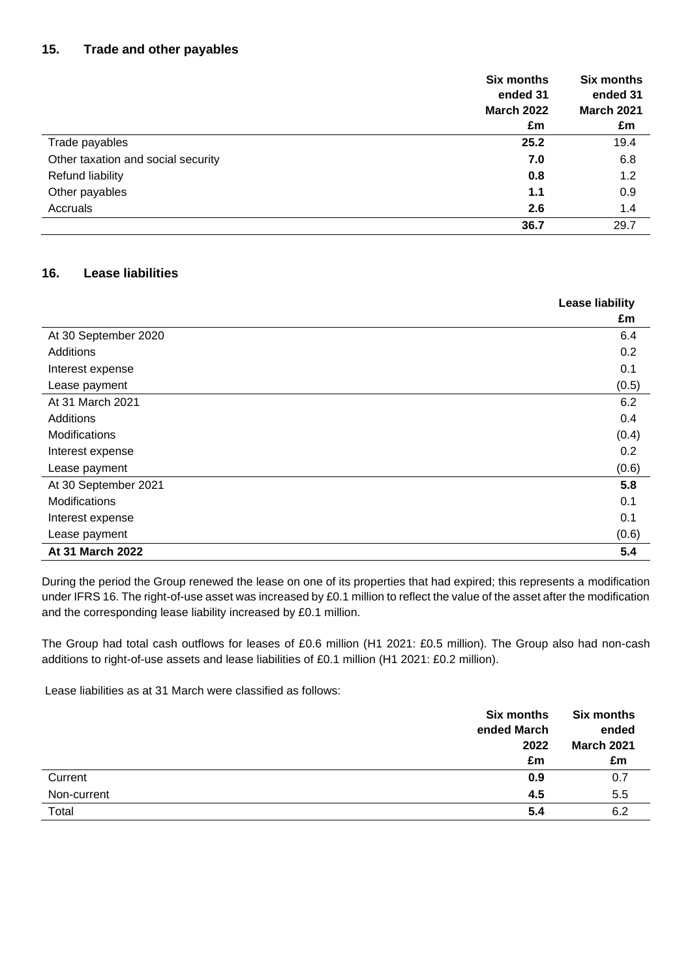# **15. Trade and other payables**

|                                    | <b>Six months</b> | <b>Six months</b> |
|------------------------------------|-------------------|-------------------|
|                                    | ended 31          | ended 31          |
|                                    | <b>March 2022</b> | <b>March 2021</b> |
|                                    | £m                | £m                |
| Trade payables                     | 25.2              | 19.4              |
| Other taxation and social security | 7.0               | 6.8               |
| <b>Refund liability</b>            | 0.8               | 1.2               |
| Other payables                     | 1.1               | 0.9               |
| Accruals                           | 2.6               | 1.4               |
|                                    | 36.7              | 29.7              |

# **16. Lease liabilities**

|                      | <b>Lease liability</b> |
|----------------------|------------------------|
|                      | £m                     |
| At 30 September 2020 | 6.4                    |
| Additions            | 0.2                    |
| Interest expense     | 0.1                    |
| Lease payment        | (0.5)                  |
| At 31 March 2021     | 6.2                    |
| Additions            | 0.4                    |
| Modifications        | (0.4)                  |
| Interest expense     | 0.2                    |
| Lease payment        | (0.6)                  |
| At 30 September 2021 | 5.8                    |
| <b>Modifications</b> | 0.1                    |
| Interest expense     | 0.1                    |
| Lease payment        | (0.6)                  |
| At 31 March 2022     | 5.4                    |

During the period the Group renewed the lease on one of its properties that had expired; this represents a modification under IFRS 16. The right-of-use asset was increased by £0.1 million to reflect the value of the asset after the modification and the corresponding lease liability increased by £0.1 million.

The Group had total cash outflows for leases of £0.6 million (H1 2021: £0.5 million). The Group also had non-cash additions to right-of-use assets and lease liabilities of £0.1 million (H1 2021: £0.2 million).

Lease liabilities as at 31 March were classified as follows:

|             | <b>Six months</b><br>ended March<br>2022<br>£m | <b>Six months</b><br>ended<br><b>March 2021</b><br>£m |
|-------------|------------------------------------------------|-------------------------------------------------------|
| Current     | 0.9                                            | 0.7                                                   |
| Non-current | 4.5                                            | 5.5                                                   |
| Total       | 5.4                                            | 6.2                                                   |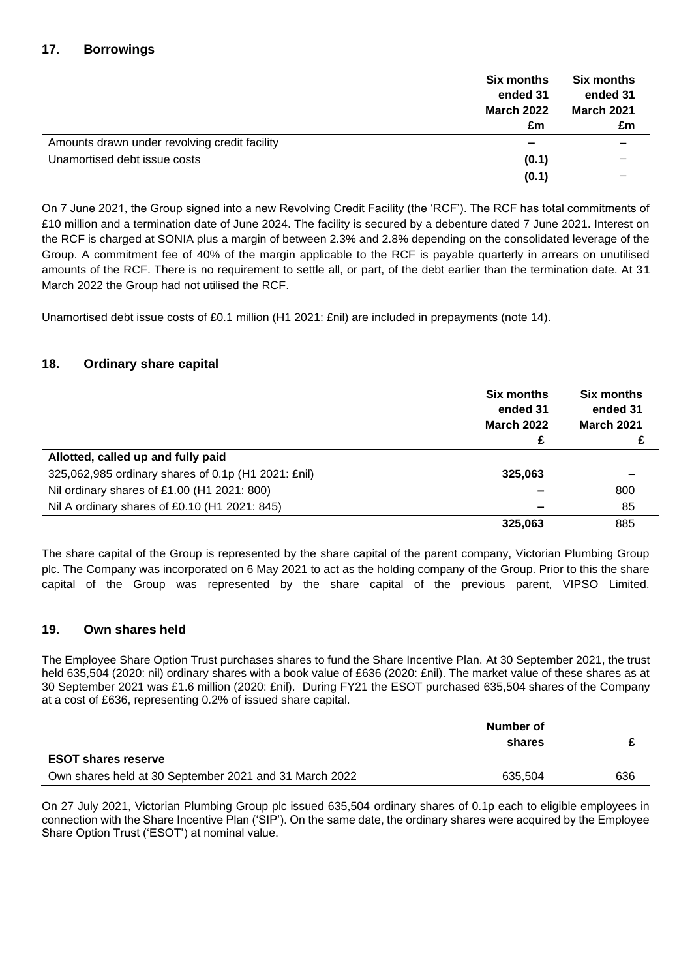# **17. Borrowings**

|                                               | <b>Six months</b> | <b>Six months</b> |
|-----------------------------------------------|-------------------|-------------------|
|                                               | ended 31          | ended 31          |
|                                               | <b>March 2022</b> | <b>March 2021</b> |
|                                               | £m                | £m                |
| Amounts drawn under revolving credit facility | -                 |                   |
| Unamortised debt issue costs                  | (0.1)             |                   |
|                                               | (0.1)             |                   |

On 7 June 2021, the Group signed into a new Revolving Credit Facility (the 'RCF'). The RCF has total commitments of £10 million and a termination date of June 2024. The facility is secured by a debenture dated 7 June 2021. Interest on the RCF is charged at SONIA plus a margin of between 2.3% and 2.8% depending on the consolidated leverage of the Group. A commitment fee of 40% of the margin applicable to the RCF is payable quarterly in arrears on unutilised amounts of the RCF. There is no requirement to settle all, or part, of the debt earlier than the termination date. At 31 March 2022 the Group had not utilised the RCF.

Unamortised debt issue costs of £0.1 million (H1 2021: £nil) are included in prepayments (note 14).

# **18. Ordinary share capital**

|                                                     | <b>Six months</b><br>ended 31<br><b>March 2022</b><br>£ | Six months<br>ended 31<br><b>March 2021</b> |
|-----------------------------------------------------|---------------------------------------------------------|---------------------------------------------|
| Allotted, called up and fully paid                  |                                                         |                                             |
| 325,062,985 ordinary shares of 0.1p (H1 2021: £nil) | 325,063                                                 |                                             |
| Nil ordinary shares of £1.00 (H1 2021: 800)         |                                                         | 800                                         |
| Nil A ordinary shares of £0.10 (H1 2021: 845)       |                                                         | 85                                          |
|                                                     | 325,063                                                 | 885                                         |

The share capital of the Group is represented by the share capital of the parent company, Victorian Plumbing Group plc. The Company was incorporated on 6 May 2021 to act as the holding company of the Group. Prior to this the share capital of the Group was represented by the share capital of the previous parent, VIPSO Limited.

# **19. Own shares held**

The Employee Share Option Trust purchases shares to fund the Share Incentive Plan. At 30 September 2021, the trust held 635,504 (2020: nil) ordinary shares with a book value of £636 (2020: £nil). The market value of these shares as at 30 September 2021 was £1.6 million (2020: £nil). During FY21 the ESOT purchased 635,504 shares of the Company at a cost of £636, representing 0.2% of issued share capital.

|                                                        | Number of<br>shares |     |
|--------------------------------------------------------|---------------------|-----|
| <b>ESOT shares reserve</b>                             |                     |     |
| Own shares held at 30 September 2021 and 31 March 2022 | 635,504             | 636 |

On 27 July 2021, Victorian Plumbing Group plc issued 635,504 ordinary shares of 0.1p each to eligible employees in connection with the Share Incentive Plan ('SIP'). On the same date, the ordinary shares were acquired by the Employee Share Option Trust ('ESOT') at nominal value.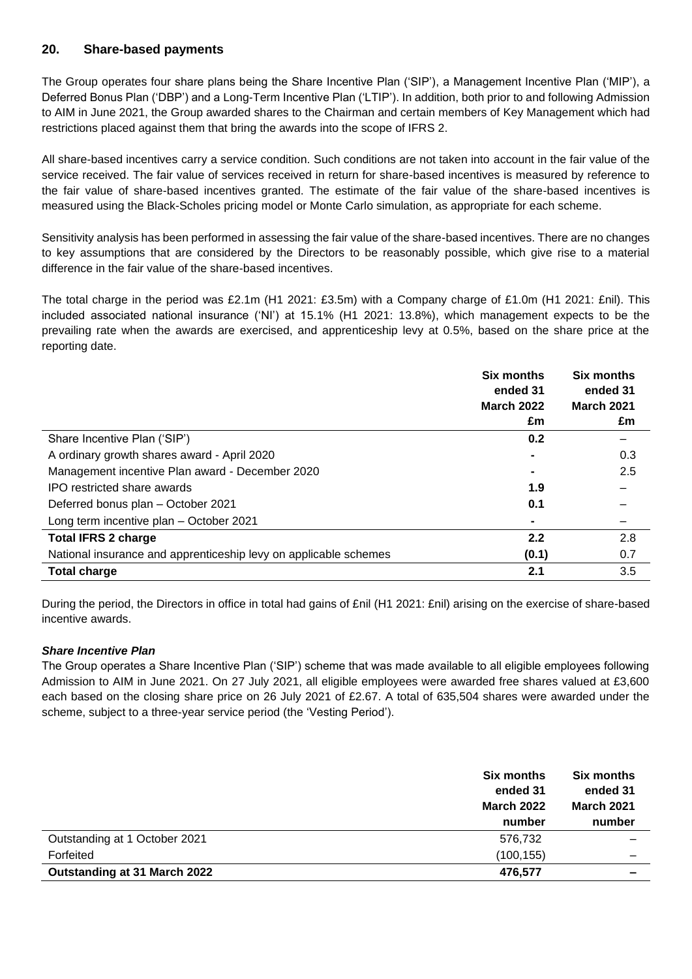# **20. Share-based payments**

The Group operates four share plans being the Share Incentive Plan ('SIP'), a Management Incentive Plan ('MIP'), a Deferred Bonus Plan ('DBP') and a Long-Term Incentive Plan ('LTIP'). In addition, both prior to and following Admission to AIM in June 2021, the Group awarded shares to the Chairman and certain members of Key Management which had restrictions placed against them that bring the awards into the scope of IFRS 2.

All share-based incentives carry a service condition. Such conditions are not taken into account in the fair value of the service received. The fair value of services received in return for share-based incentives is measured by reference to the fair value of share-based incentives granted. The estimate of the fair value of the share-based incentives is measured using the Black-Scholes pricing model or Monte Carlo simulation, as appropriate for each scheme.

Sensitivity analysis has been performed in assessing the fair value of the share-based incentives. There are no changes to key assumptions that are considered by the Directors to be reasonably possible, which give rise to a material difference in the fair value of the share-based incentives.

The total charge in the period was £2.1m (H1 2021: £3.5m) with a Company charge of £1.0m (H1 2021: £nil). This included associated national insurance ('NI') at 15.1% (H1 2021: 13.8%), which management expects to be the prevailing rate when the awards are exercised, and apprenticeship levy at 0.5%, based on the share price at the reporting date.

|                                                                  | <b>Six months</b><br>ended 31<br><b>March 2022</b> | <b>Six months</b><br>ended 31<br><b>March 2021</b> |
|------------------------------------------------------------------|----------------------------------------------------|----------------------------------------------------|
|                                                                  | £m                                                 | £m                                                 |
| Share Incentive Plan ('SIP')                                     | 0.2                                                |                                                    |
| A ordinary growth shares award - April 2020                      |                                                    | 0.3                                                |
| Management incentive Plan award - December 2020                  |                                                    | 2.5                                                |
| IPO restricted share awards                                      | 1.9                                                |                                                    |
| Deferred bonus plan - October 2021                               | 0.1                                                |                                                    |
| Long term incentive plan - October 2021                          |                                                    |                                                    |
| <b>Total IFRS 2 charge</b>                                       | 2.2                                                | 2.8                                                |
| National insurance and apprenticeship levy on applicable schemes | (0.1)                                              | 0.7                                                |
| <b>Total charge</b>                                              | 2.1                                                | 3.5                                                |

During the period, the Directors in office in total had gains of £nil (H1 2021: £nil) arising on the exercise of share-based incentive awards.

## *Share Incentive Plan*

The Group operates a Share Incentive Plan ('SIP') scheme that was made available to all eligible employees following Admission to AIM in June 2021. On 27 July 2021, all eligible employees were awarded free shares valued at £3,600 each based on the closing share price on 26 July 2021 of £2.67. A total of 635,504 shares were awarded under the scheme, subject to a three-year service period (the 'Vesting Period').

|                               | <b>Six months</b><br>ended 31<br><b>March 2022</b><br>number | <b>Six months</b><br>ended 31<br><b>March 2021</b><br>number |
|-------------------------------|--------------------------------------------------------------|--------------------------------------------------------------|
| Outstanding at 1 October 2021 | 576,732                                                      |                                                              |
| Forfeited                     | (100, 155)                                                   | $\overline{\phantom{0}}$                                     |
| Outstanding at 31 March 2022  | 476,577                                                      | -                                                            |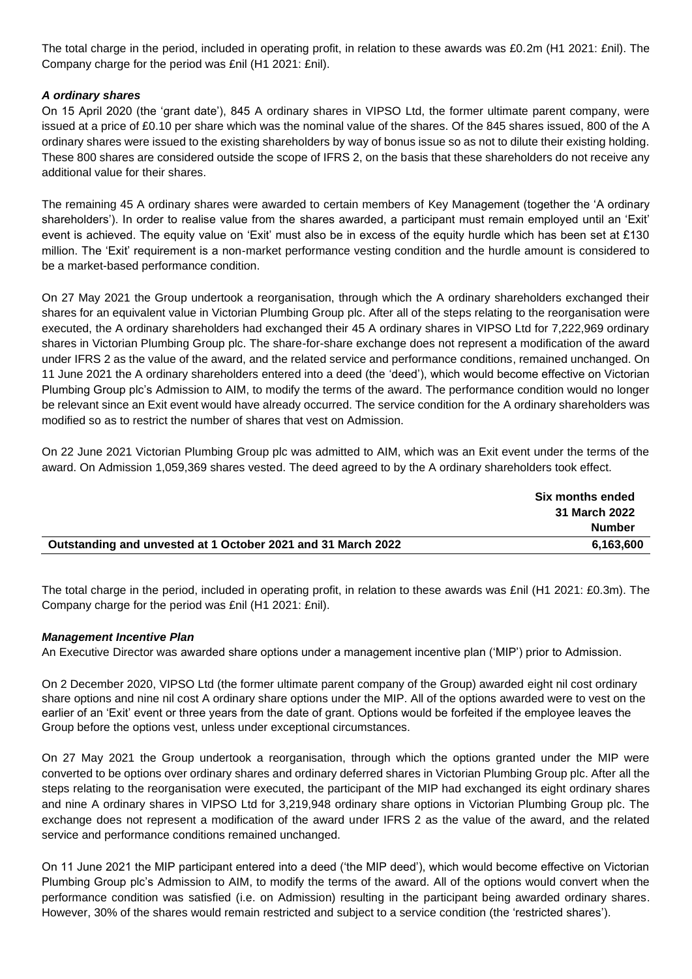The total charge in the period, included in operating profit, in relation to these awards was £0.2m (H1 2021: £nil). The Company charge for the period was £nil (H1 2021: £nil).

# *A ordinary shares*

On 15 April 2020 (the 'grant date'), 845 A ordinary shares in VIPSO Ltd, the former ultimate parent company, were issued at a price of £0.10 per share which was the nominal value of the shares. Of the 845 shares issued, 800 of the A ordinary shares were issued to the existing shareholders by way of bonus issue so as not to dilute their existing holding. These 800 shares are considered outside the scope of IFRS 2, on the basis that these shareholders do not receive any additional value for their shares.

The remaining 45 A ordinary shares were awarded to certain members of Key Management (together the 'A ordinary shareholders'). In order to realise value from the shares awarded, a participant must remain employed until an 'Exit' event is achieved. The equity value on 'Exit' must also be in excess of the equity hurdle which has been set at £130 million. The 'Exit' requirement is a non-market performance vesting condition and the hurdle amount is considered to be a market-based performance condition.

On 27 May 2021 the Group undertook a reorganisation, through which the A ordinary shareholders exchanged their shares for an equivalent value in Victorian Plumbing Group plc. After all of the steps relating to the reorganisation were executed, the A ordinary shareholders had exchanged their 45 A ordinary shares in VIPSO Ltd for 7,222,969 ordinary shares in Victorian Plumbing Group plc. The share-for-share exchange does not represent a modification of the award under IFRS 2 as the value of the award, and the related service and performance conditions, remained unchanged. On 11 June 2021 the A ordinary shareholders entered into a deed (the 'deed'), which would become effective on Victorian Plumbing Group plc's Admission to AIM, to modify the terms of the award. The performance condition would no longer be relevant since an Exit event would have already occurred. The service condition for the A ordinary shareholders was modified so as to restrict the number of shares that vest on Admission.

On 22 June 2021 Victorian Plumbing Group plc was admitted to AIM, which was an Exit event under the terms of the award. On Admission 1,059,369 shares vested. The deed agreed to by the A ordinary shareholders took effect.

|                                                              | Six months ended |
|--------------------------------------------------------------|------------------|
|                                                              | 31 March 2022    |
|                                                              | <b>Number</b>    |
| Outstanding and unvested at 1 October 2021 and 31 March 2022 | 6.163.600        |

The total charge in the period, included in operating profit, in relation to these awards was £nil (H1 2021: £0.3m). The Company charge for the period was £nil (H1 2021: £nil).

## *Management Incentive Plan*

An Executive Director was awarded share options under a management incentive plan ('MIP') prior to Admission.

On 2 December 2020, VIPSO Ltd (the former ultimate parent company of the Group) awarded eight nil cost ordinary share options and nine nil cost A ordinary share options under the MIP. All of the options awarded were to vest on the earlier of an 'Exit' event or three years from the date of grant. Options would be forfeited if the employee leaves the Group before the options vest, unless under exceptional circumstances.

On 27 May 2021 the Group undertook a reorganisation, through which the options granted under the MIP were converted to be options over ordinary shares and ordinary deferred shares in Victorian Plumbing Group plc. After all the steps relating to the reorganisation were executed, the participant of the MIP had exchanged its eight ordinary shares and nine A ordinary shares in VIPSO Ltd for 3,219,948 ordinary share options in Victorian Plumbing Group plc. The exchange does not represent a modification of the award under IFRS 2 as the value of the award, and the related service and performance conditions remained unchanged.

On 11 June 2021 the MIP participant entered into a deed ('the MIP deed'), which would become effective on Victorian Plumbing Group plc's Admission to AIM, to modify the terms of the award. All of the options would convert when the performance condition was satisfied (i.e. on Admission) resulting in the participant being awarded ordinary shares. However, 30% of the shares would remain restricted and subject to a service condition (the 'restricted shares').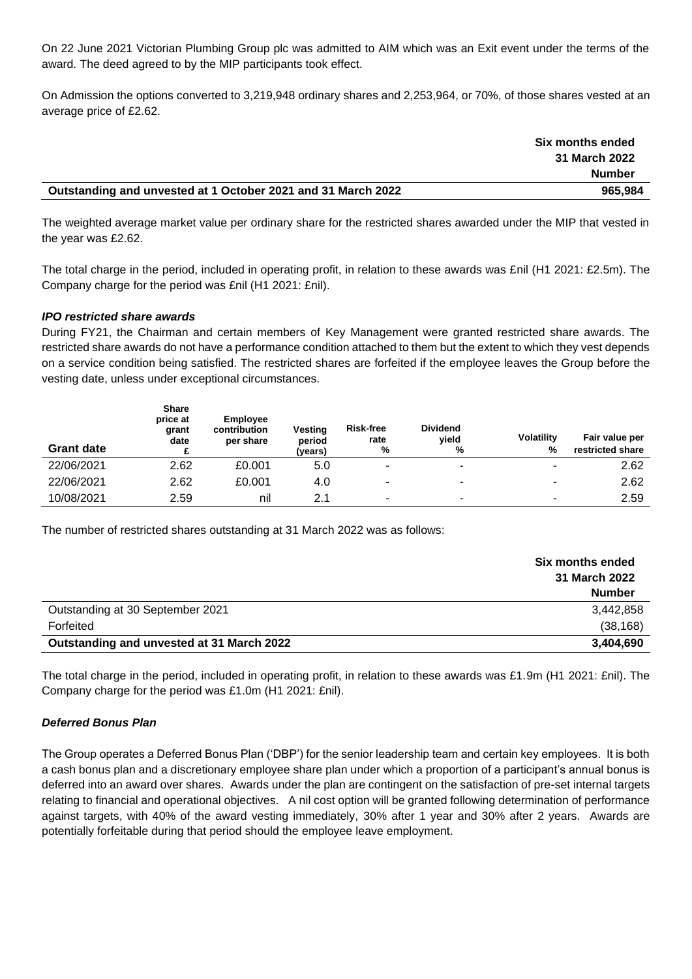On 22 June 2021 Victorian Plumbing Group plc was admitted to AIM which was an Exit event under the terms of the award. The deed agreed to by the MIP participants took effect.

On Admission the options converted to 3,219,948 ordinary shares and 2,253,964, or 70%, of those shares vested at an average price of £2.62.

|                                                              | <b>Six months ended</b> |
|--------------------------------------------------------------|-------------------------|
|                                                              | 31 March 2022           |
|                                                              | Number                  |
| Outstanding and unvested at 1 October 2021 and 31 March 2022 | 965.984                 |

The weighted average market value per ordinary share for the restricted shares awarded under the MIP that vested in the year was £2.62.

The total charge in the period, included in operating profit, in relation to these awards was £nil (H1 2021: £2.5m). The Company charge for the period was £nil (H1 2021: £nil).

#### *IPO restricted share awards*

During FY21, the Chairman and certain members of Key Management were granted restricted share awards. The restricted share awards do not have a performance condition attached to them but the extent to which they vest depends on a service condition being satisfied. The restricted shares are forfeited if the employee leaves the Group before the vesting date, unless under exceptional circumstances.

| <b>Grant date</b> | <b>Share</b><br>price at<br>grant<br>date | <b>Employee</b><br>contribution<br>per share | <b>Vesting</b><br>period<br>(years) | <b>Risk-free</b><br>rate<br>% | <b>Dividend</b><br>vield<br>% | <b>Volatility</b><br>% | Fair value per<br>restricted share |
|-------------------|-------------------------------------------|----------------------------------------------|-------------------------------------|-------------------------------|-------------------------------|------------------------|------------------------------------|
| 22/06/2021        | 2.62                                      | £0.001                                       | 5.0                                 |                               | -                             |                        | 2.62                               |
| 22/06/2021        | 2.62                                      | £0.001                                       | 4.0                                 | ٠                             | ۰                             |                        | 2.62                               |
| 10/08/2021        | 2.59                                      | nil                                          | 2.1                                 | ۰                             | -                             |                        | 2.59                               |

The number of restricted shares outstanding at 31 March 2022 was as follows:

|                                           | Six months ended<br>31 March 2022<br><b>Number</b> |
|-------------------------------------------|----------------------------------------------------|
| Outstanding at 30 September 2021          | 3,442,858                                          |
| Forfeited                                 | (38, 168)                                          |
| Outstanding and unvested at 31 March 2022 | 3,404,690                                          |

The total charge in the period, included in operating profit, in relation to these awards was £1.9m (H1 2021: £nil). The Company charge for the period was £1.0m (H1 2021: £nil).

## *Deferred Bonus Plan*

The Group operates a Deferred Bonus Plan ('DBP') for the senior leadership team and certain key employees. It is both a cash bonus plan and a discretionary employee share plan under which a proportion of a participant's annual bonus is deferred into an award over shares. Awards under the plan are contingent on the satisfaction of pre-set internal targets relating to financial and operational objectives. A nil cost option will be granted following determination of performance against targets, with 40% of the award vesting immediately, 30% after 1 year and 30% after 2 years. Awards are potentially forfeitable during that period should the employee leave employment.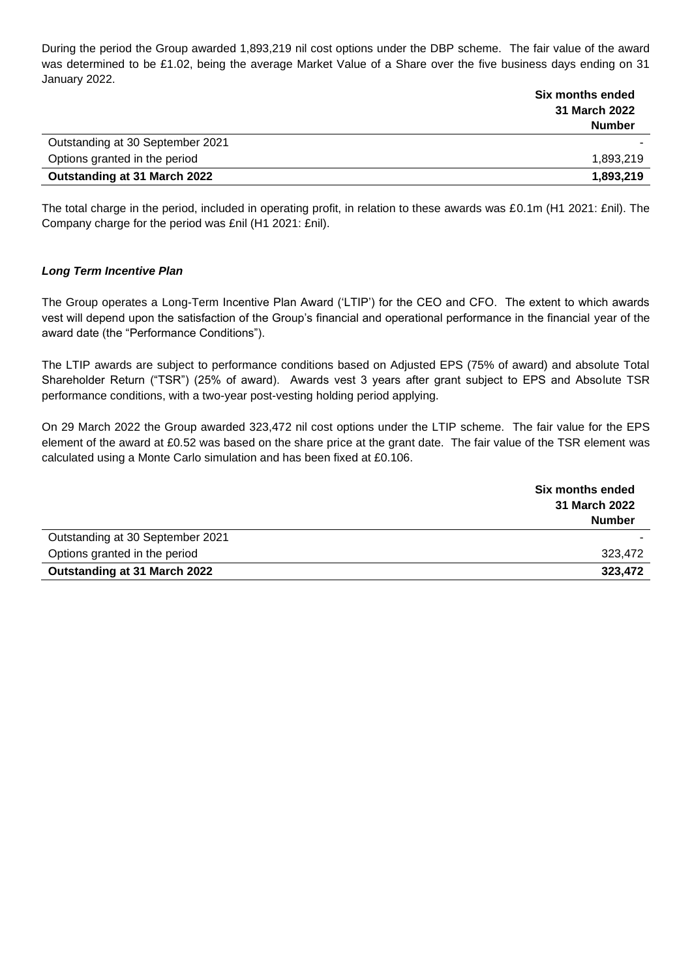During the period the Group awarded 1,893,219 nil cost options under the DBP scheme. The fair value of the award was determined to be £1.02, being the average Market Value of a Share over the five business days ending on 31 January 2022.

|                                  | Six months ended |
|----------------------------------|------------------|
|                                  | 31 March 2022    |
|                                  | <b>Number</b>    |
| Outstanding at 30 September 2021 |                  |
| Options granted in the period    | 1,893,219        |
| Outstanding at 31 March 2022     | 1,893,219        |

The total charge in the period, included in operating profit, in relation to these awards was £0.1m (H1 2021: £nil). The Company charge for the period was £nil (H1 2021: £nil).

#### *Long Term Incentive Plan*

The Group operates a Long-Term Incentive Plan Award ('LTIP') for the CEO and CFO. The extent to which awards vest will depend upon the satisfaction of the Group's financial and operational performance in the financial year of the award date (the "Performance Conditions").

The LTIP awards are subject to performance conditions based on Adjusted EPS (75% of award) and absolute Total Shareholder Return ("TSR") (25% of award). Awards vest 3 years after grant subject to EPS and Absolute TSR performance conditions, with a two-year post-vesting holding period applying.

On 29 March 2022 the Group awarded 323,472 nil cost options under the LTIP scheme. The fair value for the EPS element of the award at £0.52 was based on the share price at the grant date. The fair value of the TSR element was calculated using a Monte Carlo simulation and has been fixed at £0.106.

|                                  | Six months ended |  |
|----------------------------------|------------------|--|
|                                  | 31 March 2022    |  |
|                                  | <b>Number</b>    |  |
| Outstanding at 30 September 2021 |                  |  |
| Options granted in the period    | 323.472          |  |
| Outstanding at 31 March 2022     | 323,472          |  |